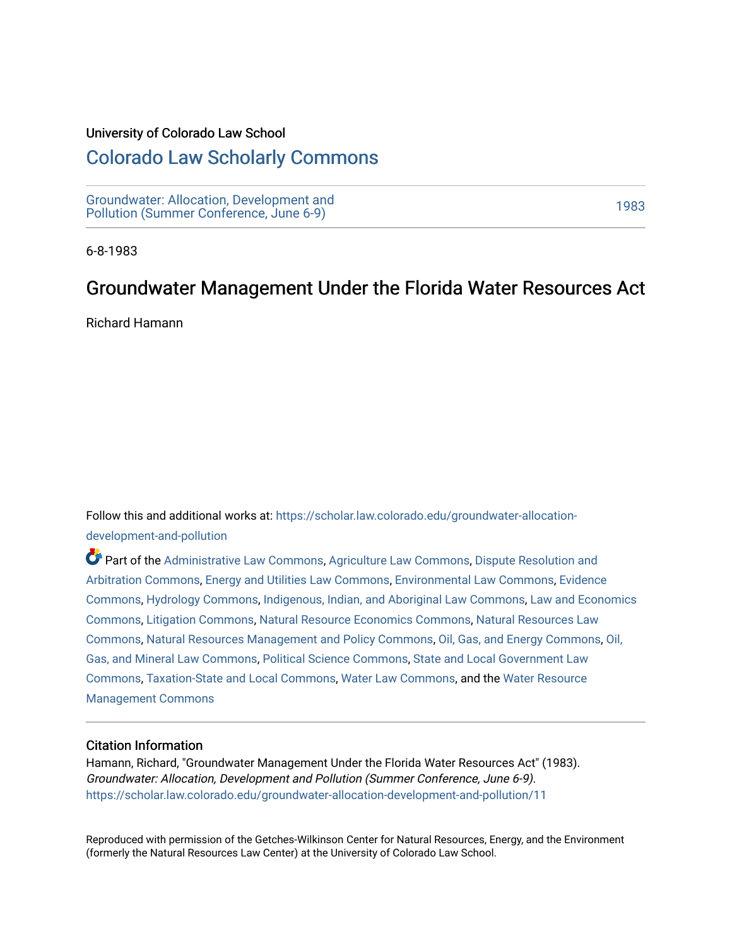### University of Colorado Law School

# [Colorado Law Scholarly Commons](https://scholar.law.colorado.edu/)

[Groundwater: Allocation, Development and](https://scholar.law.colorado.edu/groundwater-allocation-development-and-pollution)  Gioundwater. Allocation, Development and<br>Pollution (Summer Conference, June 6-9)

6-8-1983

# Groundwater Management Under the Florida Water Resources Act

Richard Hamann

Follow this and additional works at: [https://scholar.law.colorado.edu/groundwater-allocation](https://scholar.law.colorado.edu/groundwater-allocation-development-and-pollution?utm_source=scholar.law.colorado.edu%2Fgroundwater-allocation-development-and-pollution%2F11&utm_medium=PDF&utm_campaign=PDFCoverPages)[development-and-pollution](https://scholar.law.colorado.edu/groundwater-allocation-development-and-pollution?utm_source=scholar.law.colorado.edu%2Fgroundwater-allocation-development-and-pollution%2F11&utm_medium=PDF&utm_campaign=PDFCoverPages)

Part of the [Administrative Law Commons,](http://network.bepress.com/hgg/discipline/579?utm_source=scholar.law.colorado.edu%2Fgroundwater-allocation-development-and-pollution%2F11&utm_medium=PDF&utm_campaign=PDFCoverPages) [Agriculture Law Commons](http://network.bepress.com/hgg/discipline/581?utm_source=scholar.law.colorado.edu%2Fgroundwater-allocation-development-and-pollution%2F11&utm_medium=PDF&utm_campaign=PDFCoverPages), [Dispute Resolution and](http://network.bepress.com/hgg/discipline/890?utm_source=scholar.law.colorado.edu%2Fgroundwater-allocation-development-and-pollution%2F11&utm_medium=PDF&utm_campaign=PDFCoverPages) [Arbitration Commons](http://network.bepress.com/hgg/discipline/890?utm_source=scholar.law.colorado.edu%2Fgroundwater-allocation-development-and-pollution%2F11&utm_medium=PDF&utm_campaign=PDFCoverPages), [Energy and Utilities Law Commons](http://network.bepress.com/hgg/discipline/891?utm_source=scholar.law.colorado.edu%2Fgroundwater-allocation-development-and-pollution%2F11&utm_medium=PDF&utm_campaign=PDFCoverPages), [Environmental Law Commons,](http://network.bepress.com/hgg/discipline/599?utm_source=scholar.law.colorado.edu%2Fgroundwater-allocation-development-and-pollution%2F11&utm_medium=PDF&utm_campaign=PDFCoverPages) [Evidence](http://network.bepress.com/hgg/discipline/601?utm_source=scholar.law.colorado.edu%2Fgroundwater-allocation-development-and-pollution%2F11&utm_medium=PDF&utm_campaign=PDFCoverPages)  [Commons](http://network.bepress.com/hgg/discipline/601?utm_source=scholar.law.colorado.edu%2Fgroundwater-allocation-development-and-pollution%2F11&utm_medium=PDF&utm_campaign=PDFCoverPages), [Hydrology Commons](http://network.bepress.com/hgg/discipline/1054?utm_source=scholar.law.colorado.edu%2Fgroundwater-allocation-development-and-pollution%2F11&utm_medium=PDF&utm_campaign=PDFCoverPages), [Indigenous, Indian, and Aboriginal Law Commons](http://network.bepress.com/hgg/discipline/894?utm_source=scholar.law.colorado.edu%2Fgroundwater-allocation-development-and-pollution%2F11&utm_medium=PDF&utm_campaign=PDFCoverPages), [Law and Economics](http://network.bepress.com/hgg/discipline/612?utm_source=scholar.law.colorado.edu%2Fgroundwater-allocation-development-and-pollution%2F11&utm_medium=PDF&utm_campaign=PDFCoverPages)  [Commons](http://network.bepress.com/hgg/discipline/612?utm_source=scholar.law.colorado.edu%2Fgroundwater-allocation-development-and-pollution%2F11&utm_medium=PDF&utm_campaign=PDFCoverPages), [Litigation Commons,](http://network.bepress.com/hgg/discipline/910?utm_source=scholar.law.colorado.edu%2Fgroundwater-allocation-development-and-pollution%2F11&utm_medium=PDF&utm_campaign=PDFCoverPages) [Natural Resource Economics Commons,](http://network.bepress.com/hgg/discipline/169?utm_source=scholar.law.colorado.edu%2Fgroundwater-allocation-development-and-pollution%2F11&utm_medium=PDF&utm_campaign=PDFCoverPages) [Natural Resources Law](http://network.bepress.com/hgg/discipline/863?utm_source=scholar.law.colorado.edu%2Fgroundwater-allocation-development-and-pollution%2F11&utm_medium=PDF&utm_campaign=PDFCoverPages)  [Commons](http://network.bepress.com/hgg/discipline/863?utm_source=scholar.law.colorado.edu%2Fgroundwater-allocation-development-and-pollution%2F11&utm_medium=PDF&utm_campaign=PDFCoverPages), [Natural Resources Management and Policy Commons,](http://network.bepress.com/hgg/discipline/170?utm_source=scholar.law.colorado.edu%2Fgroundwater-allocation-development-and-pollution%2F11&utm_medium=PDF&utm_campaign=PDFCoverPages) [Oil, Gas, and Energy Commons,](http://network.bepress.com/hgg/discipline/171?utm_source=scholar.law.colorado.edu%2Fgroundwater-allocation-development-and-pollution%2F11&utm_medium=PDF&utm_campaign=PDFCoverPages) [Oil,](http://network.bepress.com/hgg/discipline/864?utm_source=scholar.law.colorado.edu%2Fgroundwater-allocation-development-and-pollution%2F11&utm_medium=PDF&utm_campaign=PDFCoverPages)  [Gas, and Mineral Law Commons](http://network.bepress.com/hgg/discipline/864?utm_source=scholar.law.colorado.edu%2Fgroundwater-allocation-development-and-pollution%2F11&utm_medium=PDF&utm_campaign=PDFCoverPages), [Political Science Commons](http://network.bepress.com/hgg/discipline/386?utm_source=scholar.law.colorado.edu%2Fgroundwater-allocation-development-and-pollution%2F11&utm_medium=PDF&utm_campaign=PDFCoverPages), [State and Local Government Law](http://network.bepress.com/hgg/discipline/879?utm_source=scholar.law.colorado.edu%2Fgroundwater-allocation-development-and-pollution%2F11&utm_medium=PDF&utm_campaign=PDFCoverPages) [Commons](http://network.bepress.com/hgg/discipline/879?utm_source=scholar.law.colorado.edu%2Fgroundwater-allocation-development-and-pollution%2F11&utm_medium=PDF&utm_campaign=PDFCoverPages), [Taxation-State and Local Commons](http://network.bepress.com/hgg/discipline/882?utm_source=scholar.law.colorado.edu%2Fgroundwater-allocation-development-and-pollution%2F11&utm_medium=PDF&utm_campaign=PDFCoverPages), [Water Law Commons,](http://network.bepress.com/hgg/discipline/887?utm_source=scholar.law.colorado.edu%2Fgroundwater-allocation-development-and-pollution%2F11&utm_medium=PDF&utm_campaign=PDFCoverPages) and the [Water Resource](http://network.bepress.com/hgg/discipline/1057?utm_source=scholar.law.colorado.edu%2Fgroundwater-allocation-development-and-pollution%2F11&utm_medium=PDF&utm_campaign=PDFCoverPages) [Management Commons](http://network.bepress.com/hgg/discipline/1057?utm_source=scholar.law.colorado.edu%2Fgroundwater-allocation-development-and-pollution%2F11&utm_medium=PDF&utm_campaign=PDFCoverPages)

#### Citation Information

Hamann, Richard, "Groundwater Management Under the Florida Water Resources Act" (1983). Groundwater: Allocation, Development and Pollution (Summer Conference, June 6-9). [https://scholar.law.colorado.edu/groundwater-allocation-development-and-pollution/11](https://scholar.law.colorado.edu/groundwater-allocation-development-and-pollution/11?utm_source=scholar.law.colorado.edu%2Fgroundwater-allocation-development-and-pollution%2F11&utm_medium=PDF&utm_campaign=PDFCoverPages) 

Reproduced with permission of the Getches-Wilkinson Center for Natural Resources, Energy, and the Environment (formerly the Natural Resources Law Center) at the University of Colorado Law School.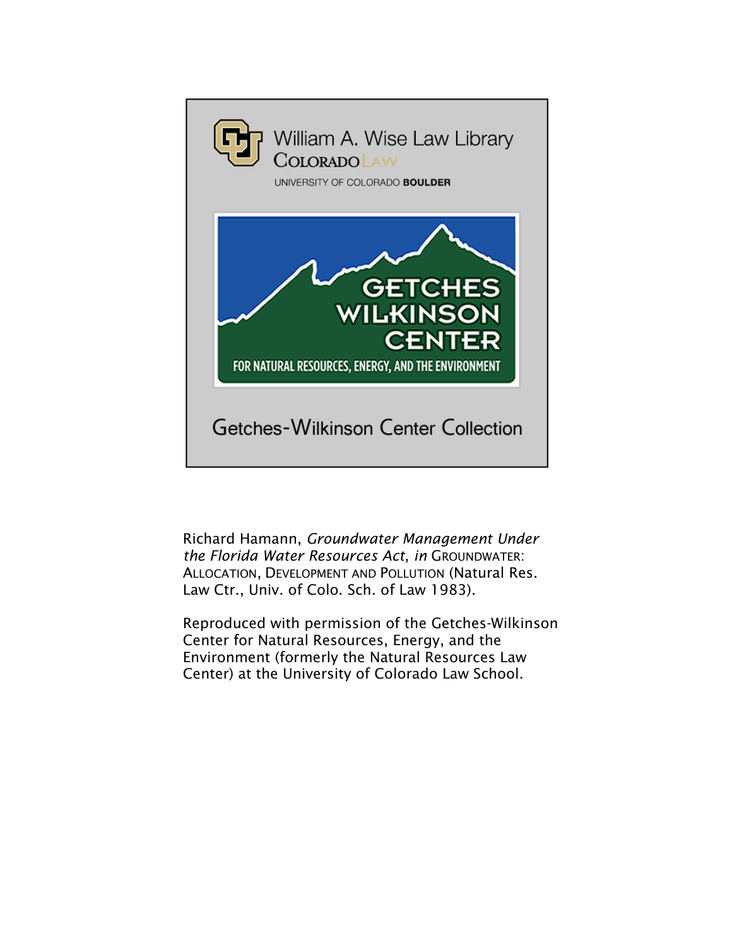

Richard Hamann, *Groundwater Management Under the Florida Water Resources Act*, *in* GROUNDWATER: ALLOCATION, DEVELOPMENT AND POLLUTION (Natural Res. Law Ctr., Univ. of Colo. Sch. of Law 1983).

Reproduced with permission of the Getches-Wilkinson Center for Natural Resources, Energy, and the Environment (formerly the Natural Resources Law Center) at the University of Colorado Law School.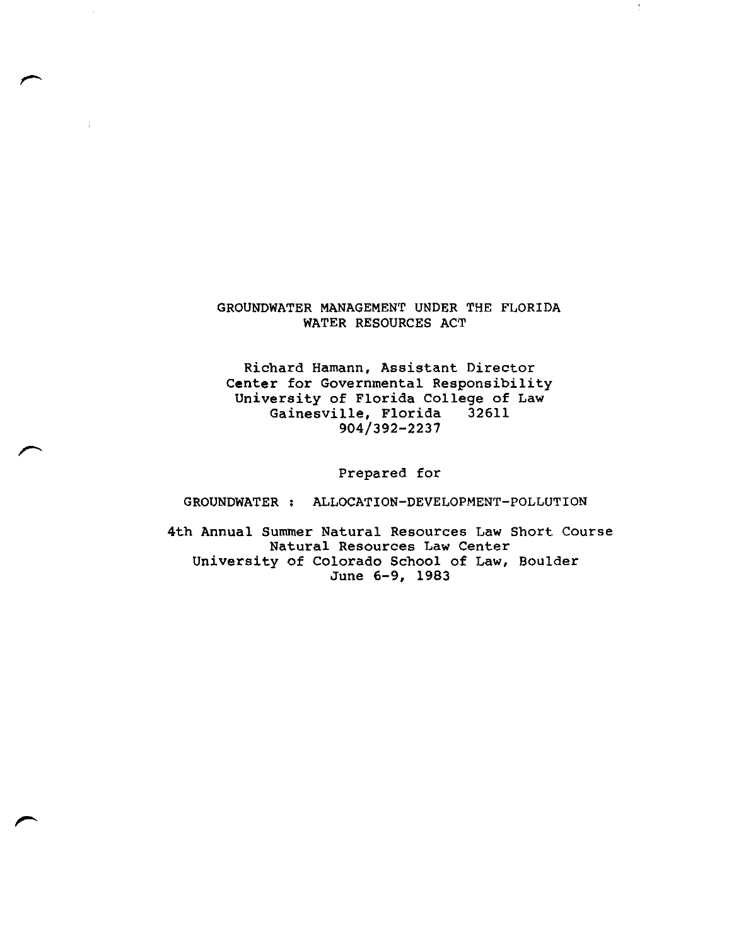#### GROUNDWATER MANAGEMENT UNDER THE FLORIDA WATER RESOURCES ACT

 $\sim 40$ 

Ť.

Richard Hamann, Assistant Director Center for Governmental Responsibility University of Florida College of Law<br>Gainesville, Florida 32611 Gainesville, Florida 904/392-2237

Prepared for

GROUNDWATER : ALLOCATION-DEVELOPMENT-POLLUTION

4th Annual Summer Natural Resources Law Short Course Natural Resources Law Center University of Colorado School of Law, Boulder June 6-9, 1983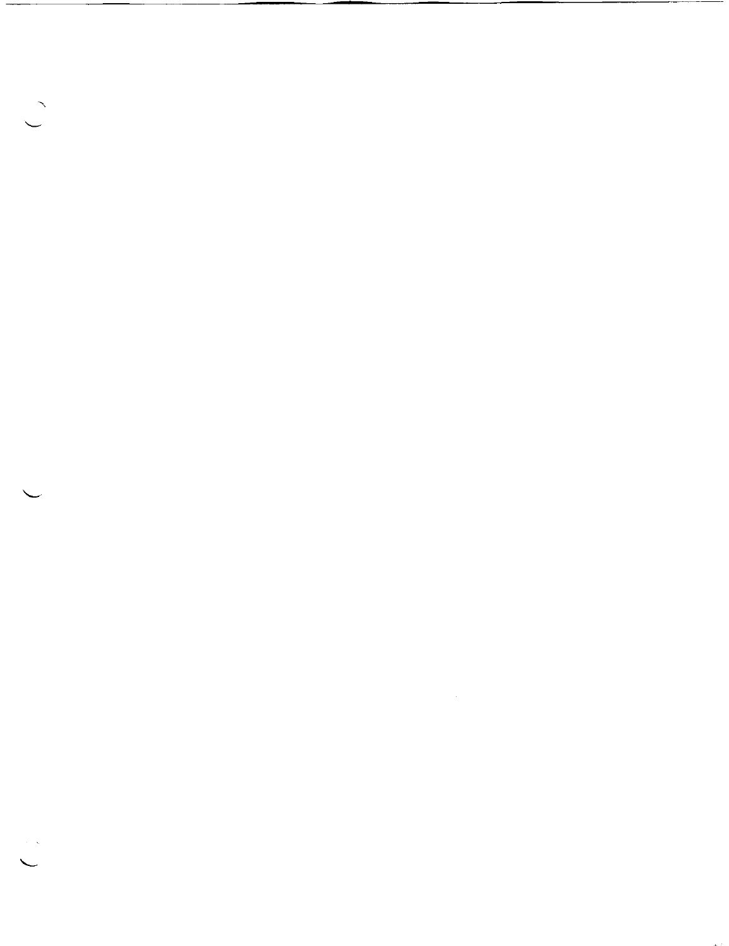

 $\sim$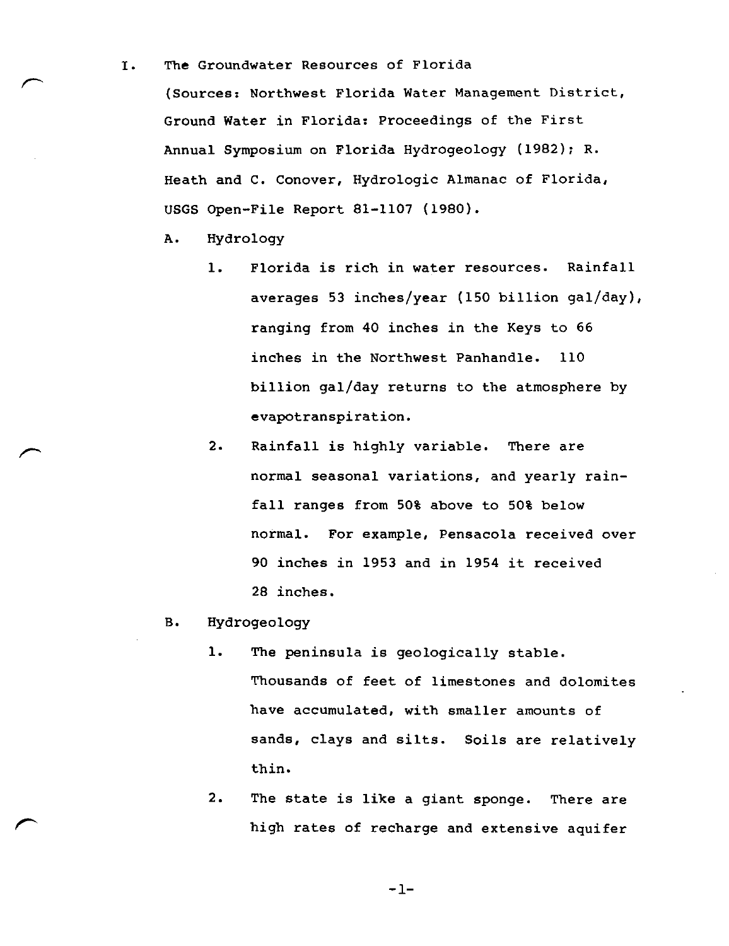#### I. The Groundwater Resources of Florida

(Sources: Northwest Florida Water Management District, Ground Water in Florida: Proceedings of the First Annual Symposium on Florida Hydrogeology (1982); R. Heath and C. Conover, Hydrologic Almanac of Florida, USGS Open-File Report 81-1107 (1980).

- A. Hydrology
	- 1. Florida is rich in water resources. Rainfall averages 53 inches/year (150 billion gal/day), ranging from 40 inches in the Keys to 66 inches in the Northwest Panhandle. 110 billion gal/day returns to the atmosphere by evapotranspiration.
	- 2. Rainfall is highly variable. There are normal seasonal variations, and yearly rainfall ranges from 50% above to 50% below normal. For example, Pensacola received over 90 inches in 1953 and in 1954 it received 28 inches.
- B. Hydrogeology
	- 1. The peninsula is geologically stable. Thousands of feet of limestones and dolomites have accumulated, with smaller amounts of sands, clays and silts. Soils are relatively thin.
	- 2. The state is like a giant sponge. There are high rates of recharge and extensive aquifer

-1-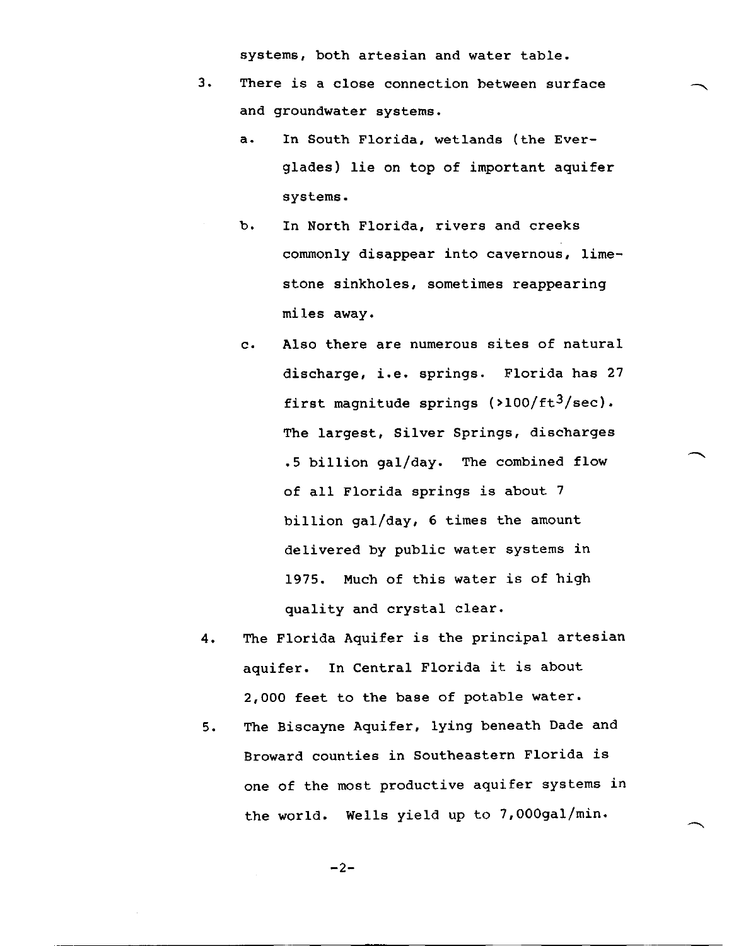systems, both artesian and water table.

- 3. There is a close connection between surface and groundwater systems.
	- a. In South Florida, wetlands (the Everglades) lie on top of important aquifer systems.
	- b. In North Florida, rivers and creeks commonly disappear into cavernous, limestone sinkholes, sometimes reappearing miles away.
	- c. Also there are numerous sites of natural discharge, i.e. springs. Florida has 27 first magnitude springs  $(>100/ft^3/sec)$ . The largest, Silver Springs, discharges .5 billion gal/day. The combined flow of all Florida springs is about 7 billion gal/day, 6 times the amount delivered by public water systems in 1975. Much of this water is of high quality and crystal clear.
- 4. The Florida Aquifer is the principal artesian aquifer. In Central Florida it is about 2,000 feet to the base of potable water.
- 5. The Biscayne Aquifer, lying beneath Dade and Broward counties in Southeastern Florida is one of the most productive aquifer systems in the world. Wells yield up to 7,000gal/min.

 $-2-$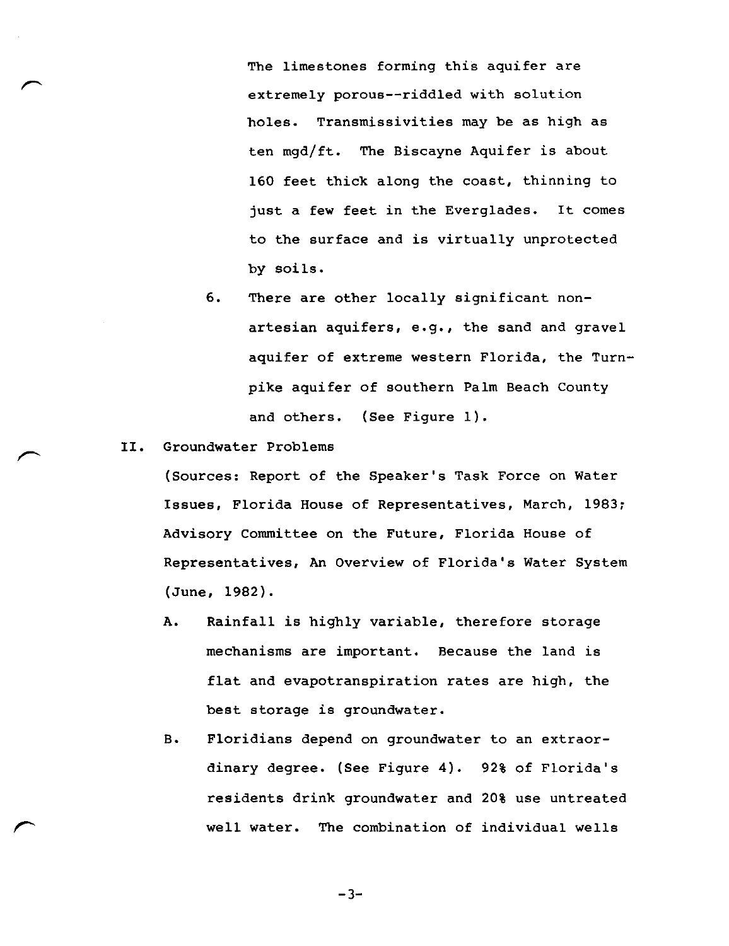The limestones forming this aquifer are extremely porous--riddled with solution holes. Transmissivities may be as high as ten mgd/ft. The Biscayne Aquifer is about 160 feet thick along the coast, thinning to just a few feet in the Everglades. It comes to the surface and is virtually unprotected by soils.

- 6. There are other locally significant nonartesian aquifers, e.g., the sand and gravel aquifer of extreme western Florida, the Turnpike aquifer of southern Palm Beach County and others. (See Figure 1).
- II. Groundwater Problems

(Sources: Report of the Speaker's Task Force on Water Issues, Florida House of Representatives, March, 1983; Advisory Committee on the Future, Florida House of Representatives, An Overview of Florida's Water System (June, 1982).

- A. Rainfall is highly variable, therefore storage mechanisms are important. Because the land is flat and evapotranspiration rates are high, the best storage is groundwater.
- B. Floridians depend on groundwater to an extraordinary degree. (See Figure 4). 92% of Florida's residents drink groundwater and 20% use untreated well water. The combination of individual wells

 $-3-$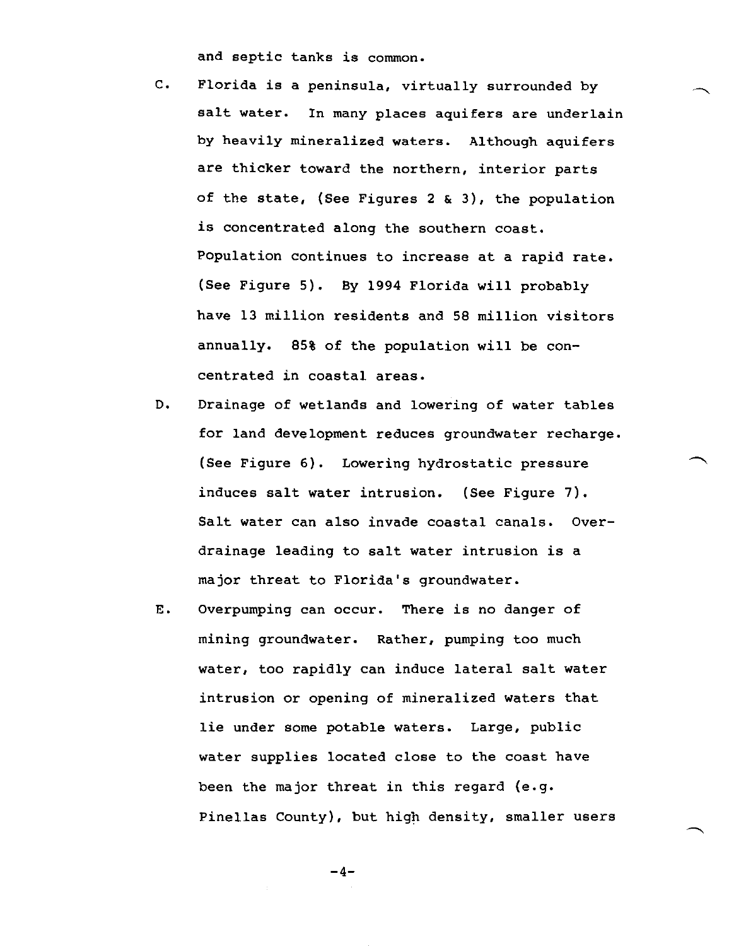and septic tanks is common.

- C. Florida is a peninsula, virtually surrounded by salt water. In many places aquifers are underlain by heavily mineralized waters. Although aquifers are thicker toward the northern, interior parts of the state, (See Figures 2  $\alpha$  3), the population is concentrated along the southern coast. Population continues to increase at a rapid rate. (See Figure 5). By 1994 Florida will probably have 13 million residents and 58 million visitors annually. 85% of the population will be concentrated in coastal areas.
- D. Drainage of wetlands and lowering of water tables for land development reduces groundwater recharge. (See Figure 6). Lowering hydrostatic pressure induces salt water intrusion. (See Figure 7). Salt water can also invade coastal canals. Overdrainage leading to salt water intrusion is a major threat to Florida's groundwater.
- E. Overpumping can occur. There is no danger of mining groundwater. Rather, pumping too much water, too rapidly can induce lateral salt water intrusion or opening of mineralized waters that lie under some potable waters. Large, public water supplies located close to the coast have been the major threat in this regard (e.g. Pinellas County), but high density, smaller users

 $-4-$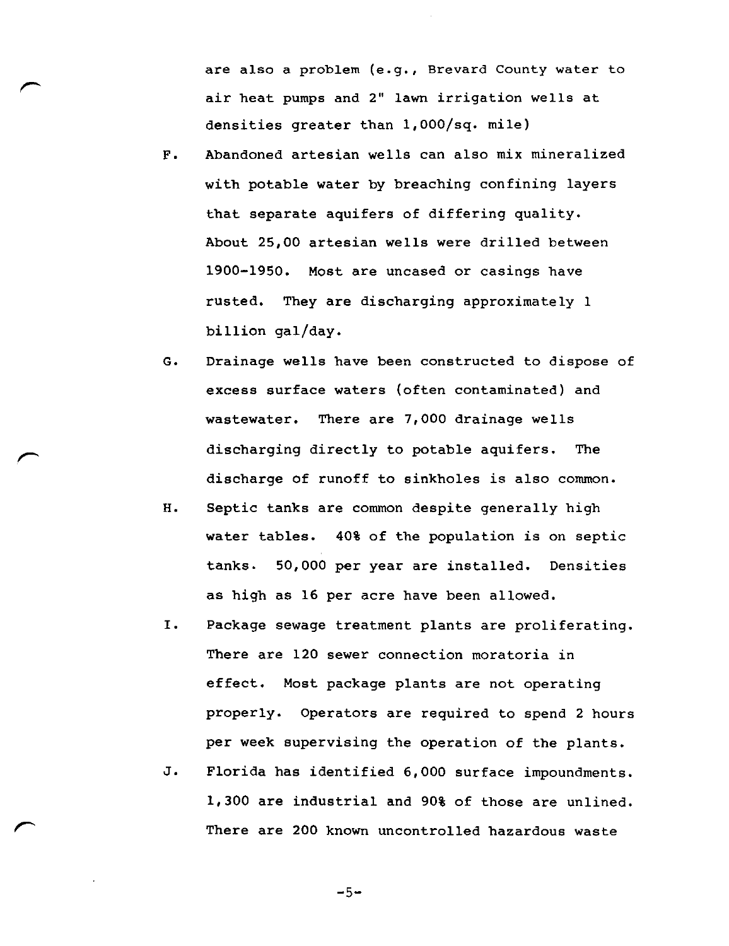are also a problem (e.g., Brevard County water to air heat pumps and 2" lawn irrigation wells at densities greater than 1,000/sq. mile)

- F. Abandoned artesian wells can also mix mineralized with potable water by breaching confining layers that separate aquifers of differing quality. About 25,00 artesian wells were drilled between 1900-1950. Most are uncased or casings have rusted. They are discharging approximately 1 billion gal/day.
- G. Drainage wells have been constructed to dispose of excess surface waters (often contaminated) and wastewater. There are 7,000 drainage wells discharging directly to potable aquifers. The discharge of runoff to sinkholes is also common.
- H. Septic tanks are common despite generally high water tables. 40% of the population is on septic tanks. 50,000 per year are installed. Densities as high as 16 per acre have been allowed.
- I. Package sewage treatment plants are proliferating. There are 120 sewer connection moratoria in effect. Most package plants are not operating properly. Operators are required to spend 2 hours per week supervising the operation of the plants.
- J. Florida has identified 6,000 surface impoundments. 1,300 are industrial and 90% of those are unlined. There are 200 known uncontrolled hazardous waste

 $-5-$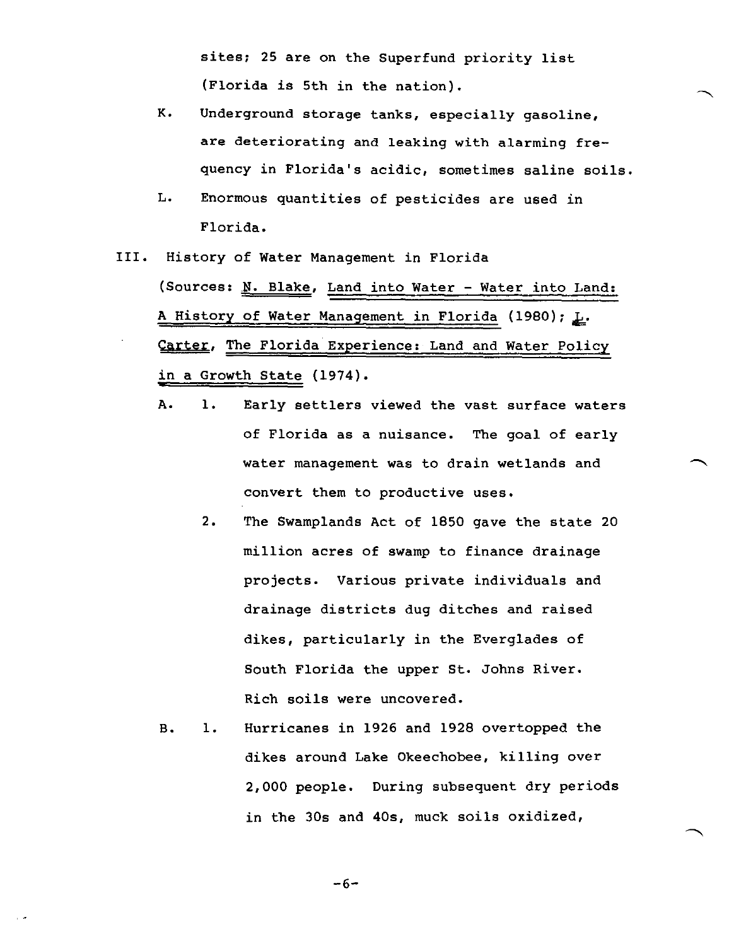sites; 25 are on the Superfund priority list (Florida is 5th in the nation).

- K. Underground storage tanks, especially gasoline, are deteriorating and leaking with alarming frequency in Florida's acidic, sometimes saline soils.
- L. Enormous quantities of pesticides are used in Florida.
- III. History of Water Management in Florida (Sources: N. Blake, Land into Water - Water into Land: A History of Water Management in Florida (1980);  $\mathbf{\mathcal{L}}$ . Carter, The Florida Experience: Land and Water Policy in a Growth State (1974).
	- A. 1. Early settlers viewed the vast surface waters of Florida as a nuisance. The goal of early water management was to drain wetlands and convert them to productive uses.
		- 2. The Swamplands Act of 1850 gave the state 20 million acres of swamp to finance drainage projects. Various private individuals and drainage districts dug ditches and raised dikes, particularly in the Everglades of South Florida the upper St. Johns River. Rich soils were uncovered.
	- B. 1. Hurricanes in 1926 and 1928 overtopped the dikes around Lake Okeechobee, killing over 2,000 people. During subsequent dry periods in the 30s and 40s, muck soils oxidized,

 $-6-$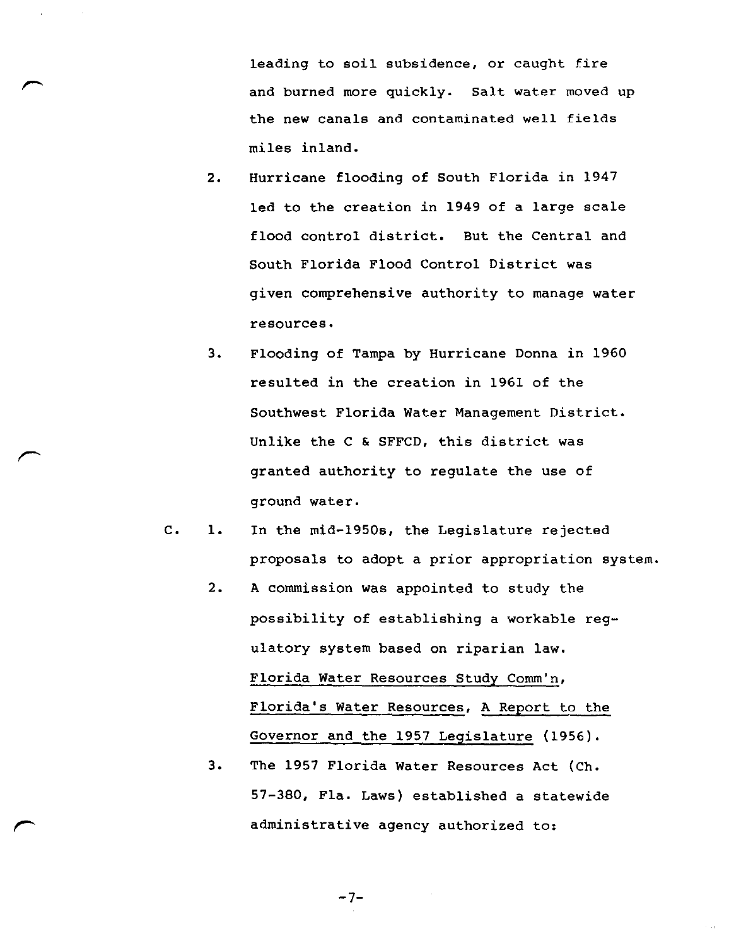leading to soil subsidence, or caught fire and burned more quickly. Salt water moved up the new canals and contaminated well fields miles inland.

- 2. Hurricane flooding of South Florida in 1947 led to the creation in 1949 of a large scale flood control district. But the Central and South Florida Flood Control District was given comprehensive authority to manage water resources.
- 3. Flooding of Tampa by Hurricane Donna in 1960 resulted in the creation in 1961 of the Southwest Florida Water Management District. Unlike the C & SFFCD, this district was granted authority to regulate the use of ground water.
- C. 1. In the mid-1950s, the Legislature rejected proposals to adopt a prior appropriation system.
	- 2. A commission was appointed to study the possibility of establishing a workable regulatory system based on riparian law. Florida Water Resources Study Comm'n, Florida's Water Resources, A Report to the Governor and the 1957 Legislature (1956).
	- 3. The 1957 Florida Water Resources Act (Ch. 57-380, Fla. Laws) established a statewide administrative agency authorized to:

 $-7-$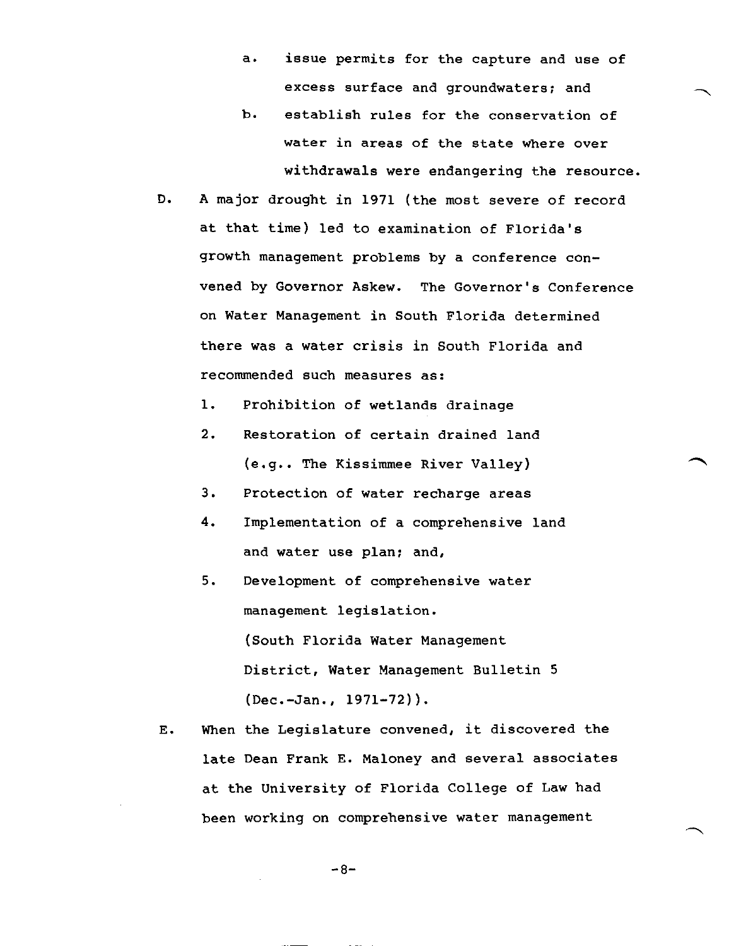- a. issue permits for the capture and use of excess surface and groundwaters; and
- b. establish rules for the conservation of water in areas of the state where over withdrawals were endangering the resource.
- D. A major drought in 1971 (the most severe of record at that time) led to examination of Florida's growth management problems by a conference convened by Governor Askew. The Governor's Conference on Water Management in South Florida determined there was a water crisis in South Florida and recommended such measures as:
	- 1. Prohibition of wetlands drainage
	- 2. Restoration of certain drained land (e.g.. The Kissimmee River Valley)
	- 3. Protection of water recharge areas
	- 4. Implementation of a comprehensive land and water use plan; and,
	- 5. Development of comprehensive water management legislation. (South Florida Water Management District, Water Management Bulletin 5 (Dec.-Jan., 1971-72)).
- E. When the Legislature convened, it discovered the late Dean Frank E. Maloney and several associates at the University of Florida College of Law had been working on comprehensive water management

-8-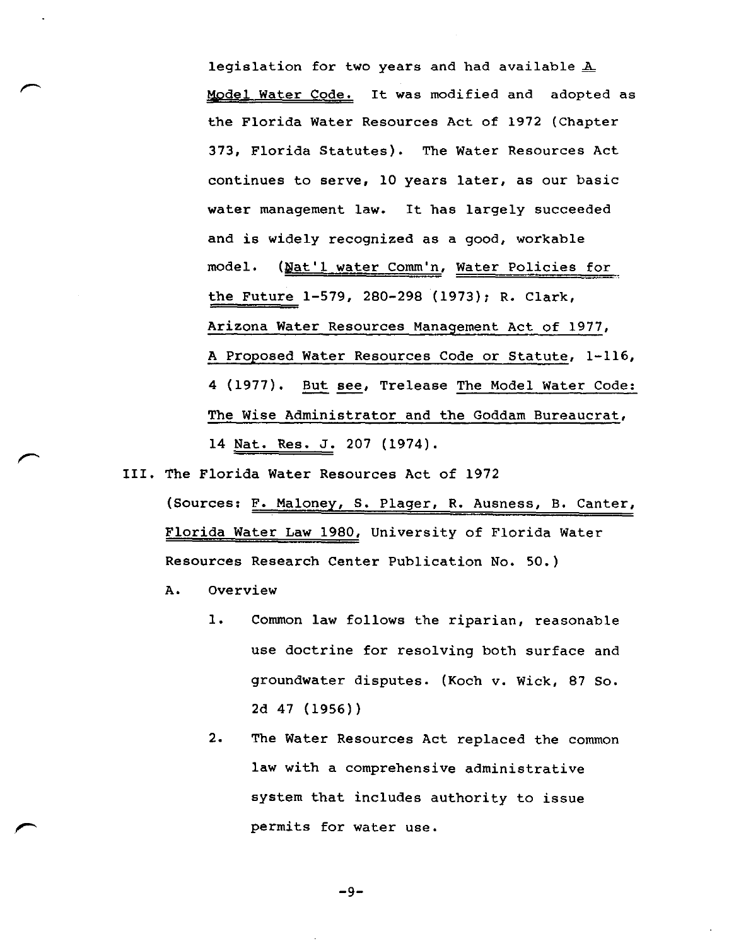legislation for two years and had available  $\underline{A}$ Model Water Code. It was modified and adopted as the Florida Water Resources Act of 1972 (Chapter 373, Florida Statutes). The Water Resources Act continues to serve, 10 years later, as our basic water management law. It has largely succeeded and is widely recognized as a good, workable model. (Nat'l water Comm'n, Water Policies for the Future 1-579, 280-298 (1973); R. Clark, Arizona Water Resources Management Act of 1977, A Proposed Water Resources Code or Statute, 1-116, 4 (1977). But see, Trelease The Model Water Code: The Wise Administrator and the Goddam Bureaucrat, 14 Nat. Res. J. 207 (1974).

III. The Florida Water Resources Act of 1972

(Sources: F. Maloney, S. Plager, R. Ausness, B. Canter, Florida Water Law 1980, University of Florida Water Resources Research Center Publication No. 50.)

A. Overview

- 1. Common law follows the riparian, reasonable use doctrine for resolving both surface and groundwater disputes. (Koch v. Wick, 87 So. 2d 47 (1956))
- 2. The Water Resources Act replaced the common law with a comprehensive administrative system that includes authority to issue permits for water use.

-9-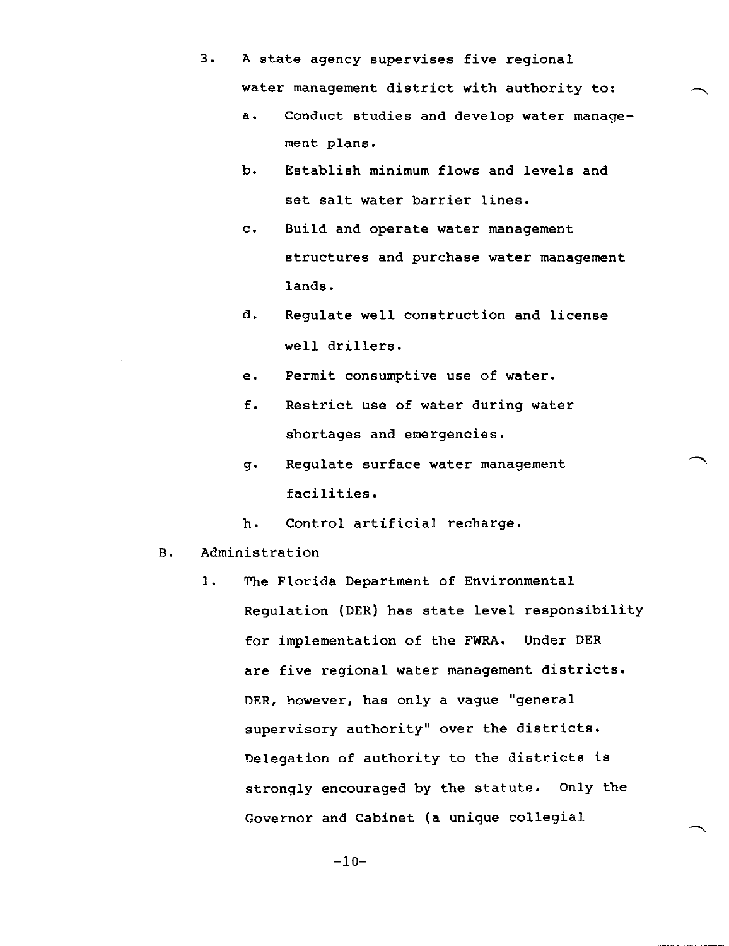3. A state agency supervises five regional

water management district with authority to:

- a. Conduct studies and develop water management plans.
- b. Establish minimum flows and levels and set salt water barrier lines.
- c. Build and operate water management structures and purchase water management lands.
- d. Regulate well construction and license well drillers.
- e. Permit consumptive use of water.
- f. Restrict use of water during water shortages and emergencies.
- g. Regulate surface water management facilities.
- h. Control artificial recharge.
- B. Administration
	- 1. The Florida Department of Environmental Regulation (DER) has state level responsibility for implementation of the FWRA. Under DER are five regional water management districts. DER, however, has only a vague "general supervisory authority" over the districts. Delegation of authority to the districts is strongly encouraged by the statute. Only the Governor and Cabinet (a unique collegial

-10-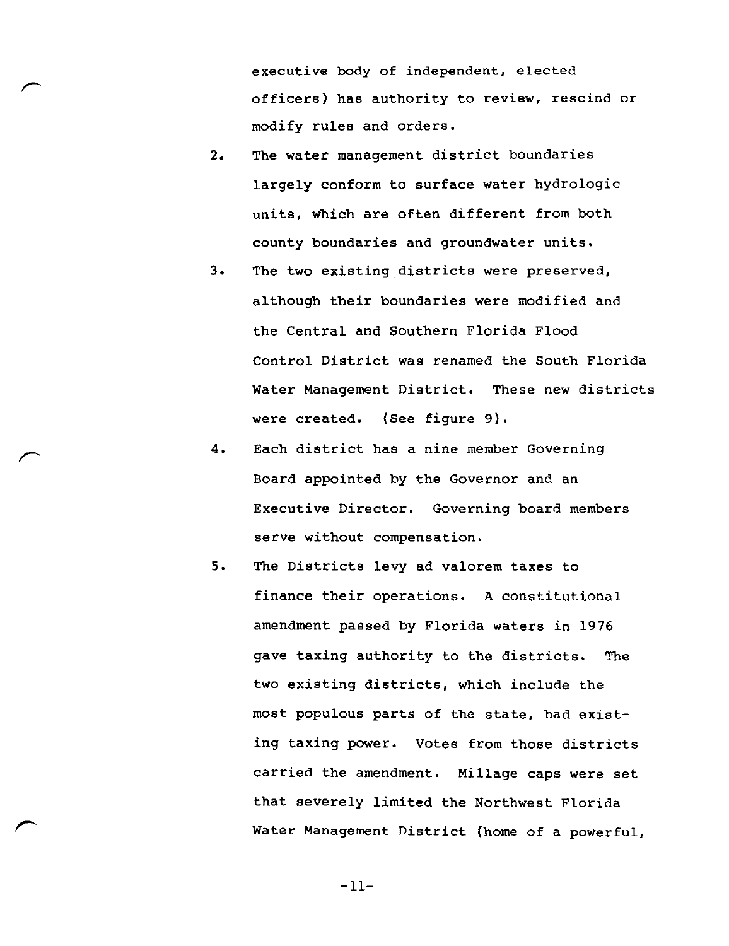executive body of independent, elected officers) has authority to review, rescind or modify rules and orders.

- 2. The water management district boundaries largely conform to surface water hydrologic units, which are often different from both county boundaries and groundwater units.
- 3. The two existing districts were preserved, although their boundaries were modified and the Central and Southern Florida Flood Control District was renamed the South Florida Water Management District. These new districts were created. (See figure 9).
- 4. Each district has a nine member Governing Board appointed by the Governor and an Executive Director. Governing board members serve without compensation.
- 5. The Districts levy ad valorem taxes to finance their operations. A constitutional amendment passed by Florida waters in 1976 gave taxing authority to the districts. The two existing districts, which include the most populous parts of the state, had existing taxing power. Votes from those districts carried the amendment. Millage caps were set that severely limited the Northwest Florida Water Management District (home of a powerful,

 $-11-$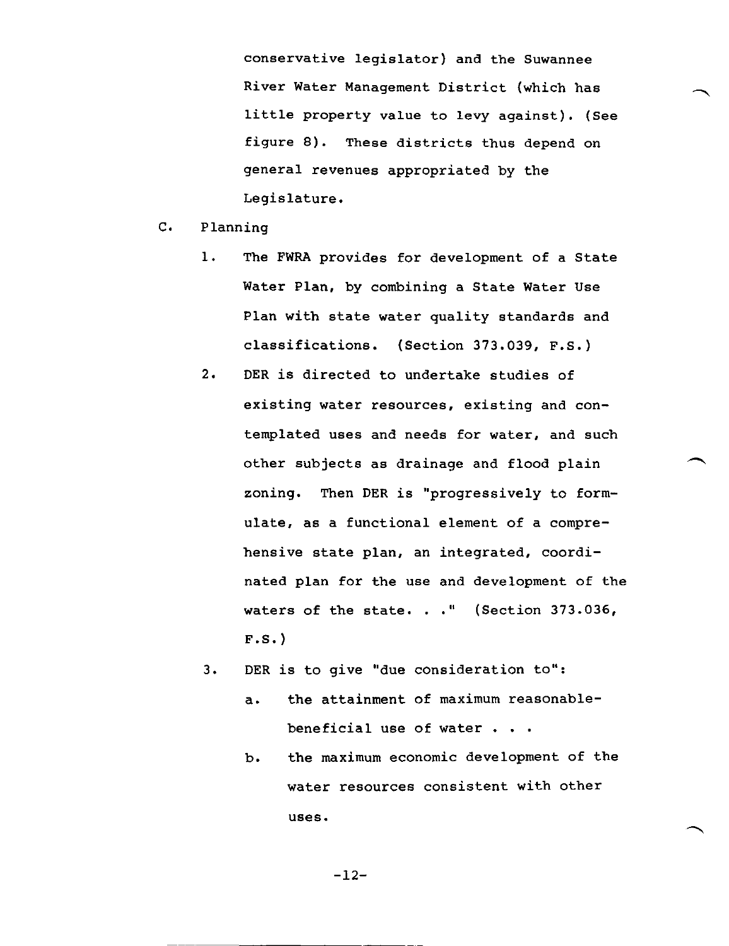conservative legislator) and the Suwannee River Water Management District (which has little property value to levy against). (See figure 8). These districts thus depend on general revenues appropriated by the Legislature.

- C. Planning
	- 1. The FWRA provides for development of a State Water Plan, by combining a State Water Use Plan with state water quality standards and classifications. (Section 373.039, F.S.)
	- 2. DER is directed to undertake studies of existing water resources, existing and contemplated uses and needs for water, and such other subjects as drainage and flood plain zoning. Then DER is "progressively to formulate, as a functional element of a comprehensive state plan, an integrated, coordinated plan for the use and development of the waters of the state. . ." (Section 373.036,  $F.S.$ )
	- 3. DER is to give "due consideration to": a. the attainment of maximum reasonablebeneficial use of water . . .
		- b. the maximum economic development of the water resources consistent with other uses.

-12-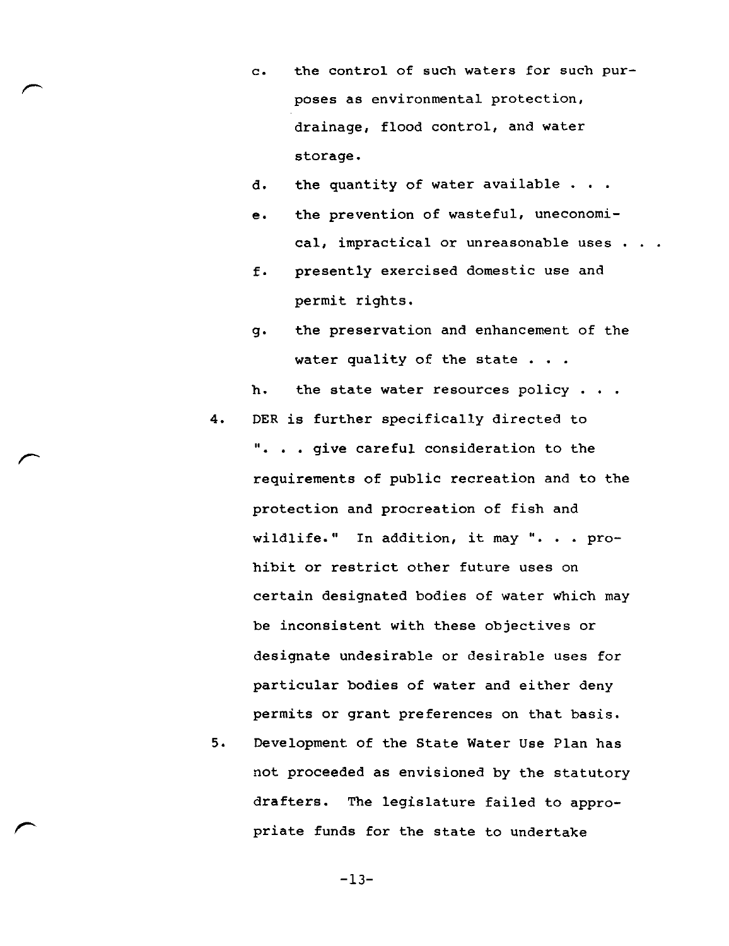- c. the control of such waters for such purposes as environmental protection, drainage, flood control, and water storage.
- d. the quantity of water available . . .
- e. the prevention of wasteful, uneconomical, impractical or unreasonable uses . . .
- f. presently exercised domestic use and permit rights.
- g. the preservation and enhancement of the water quality of the state . . .

h. the state water resources policy . . . 4. DER is further specifically directed to ". . . give careful consideration to the requirements of public recreation and to the protection and procreation of fish and wildlife." In addition, it may ". . . prohibit or restrict other future uses on certain designated bodies of water which may be inconsistent with these objectives or designate undesirable or desirable uses for particular bodies of water and either deny permits or grant preferences on that basis.

5. Development of the State Water Use Plan has not proceeded as envisioned by the statutory drafters. The legislature failed to appropriate funds for the state to undertake

-13-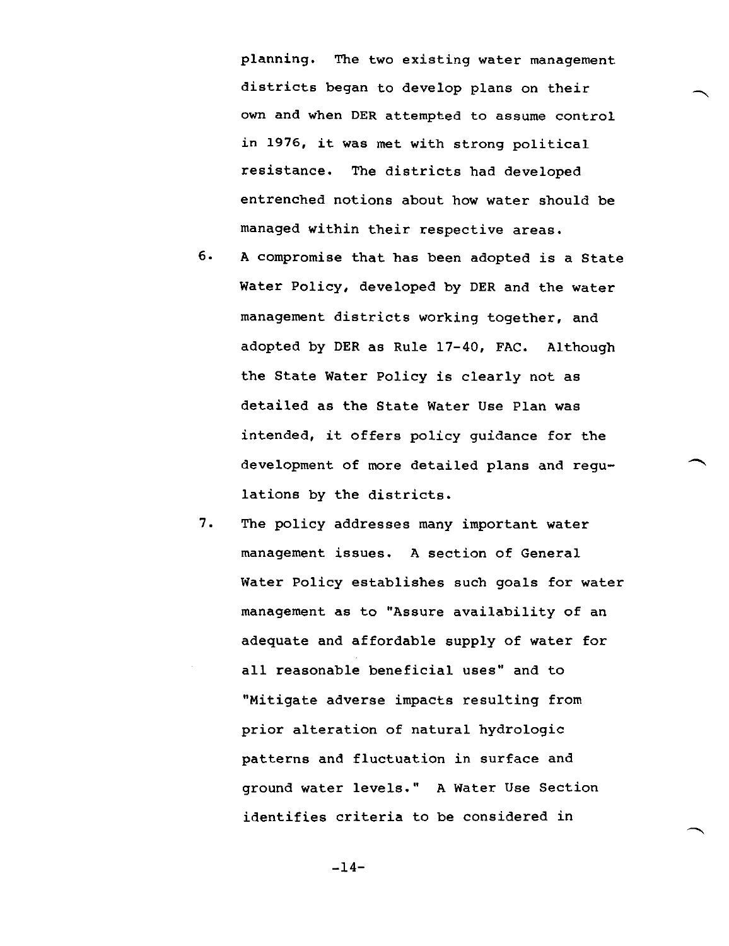planning. The two existing water management districts began to develop plans on their own and when DER attempted to assume control in 1976, it was met with strong political resistance. The districts had developed entrenched notions about how water should be managed within their respective areas.

- 6. A compromise that has been adopted is a State Water Policy, developed by DER and the water management districts working together, and adopted by DER as Rule 17-40, FAC. Although the State Water Policy is clearly not as detailed as the State Water Use Plan was intended, it offers policy guidance for the development of more detailed plans and requlations by the districts.
- 7. The policy addresses many important water management issues. A section of General Water Policy establishes such goals for water management as to "Assure availability of an adequate and affordable supply of water for all reasonable beneficial uses" and to "Mitigate adverse impacts resulting from prior alteration of natural hydrologic patterns and fluctuation in surface and ground water levels." A Water Use Section identifies criteria to be considered in

 $-14-$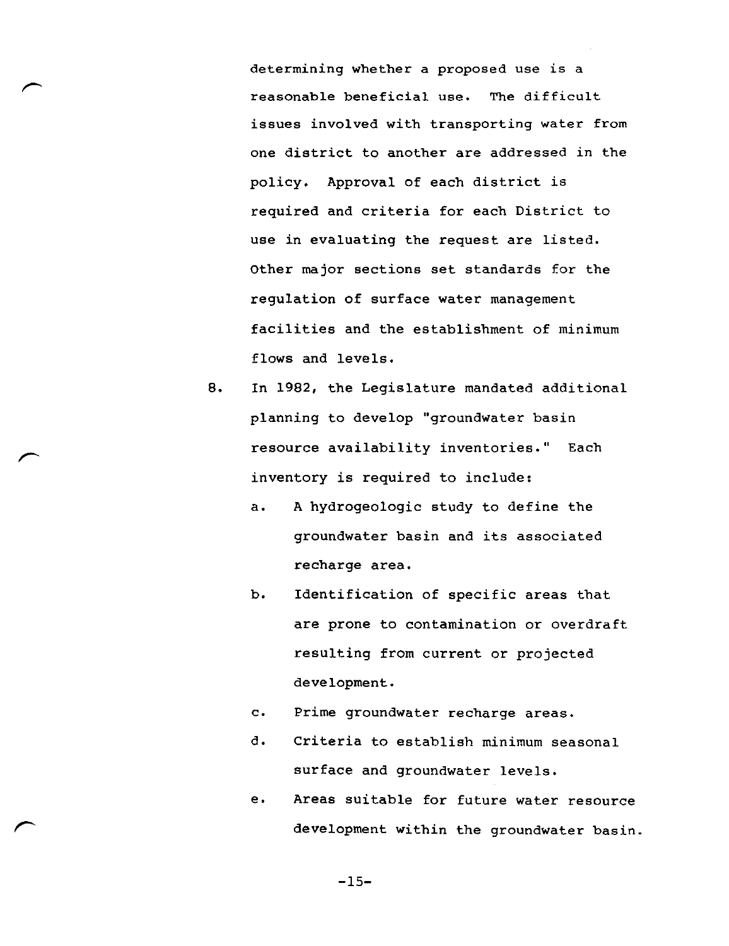determining whether a proposed use is a reasonable beneficial use. The difficult issues involved with transporting water from one district to another are addressed in the policy. Approval of each district is required and criteria for each District to use in evaluating the request are listed. Other major sections set standards for the regulation of surface water management facilities and the establishment of minimum flows and levels.

- 8. In 1982, the Legislature mandated additional planning to develop "groundwater basin resource availability inventories." Each inventory is required to include:
	- a. A hydrogeologic study to define the groundwater basin and its associated recharge area.
	- b. Identification of specific areas that are prone to contamination or overdraft resulting from current or projected development.
	- c. Prime groundwater recharge areas.
	- d. Criteria to establish minimum seasonal surface and groundwater levels.
	- e. Areas suitable for future water resource development within the groundwater basin.

-15-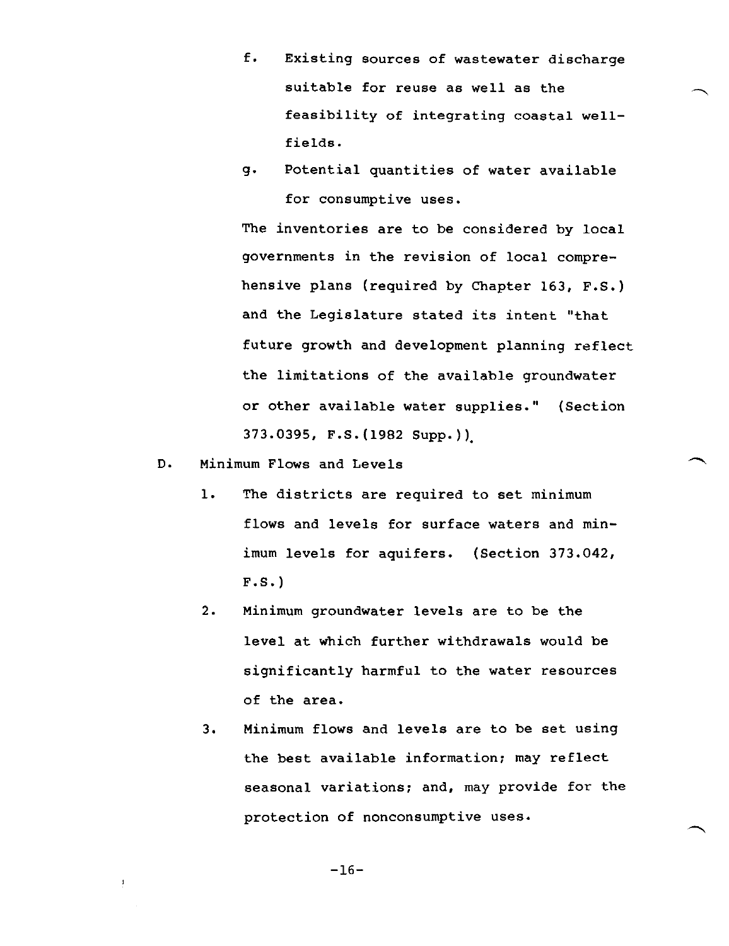- f. Existing sources of wastewater discharge suitable for reuse as well as the feasibility of integrating coastal wellfields.
- g. Potential quantities of water available for consumptive uses.

The inventories are to be considered by local governments in the revision of local comprehensive plans (required by Chapter 163, F.S.) and the Legislature stated its intent "that future growth and development planning reflect the limitations of the available groundwater or other available water supplies." (Section 373.0395, F.S. (1982 Supp.))

- D. Minimum Flows and Levels
	- 1. The districts are required to set minimum flows and levels for surface waters and minimum levels for aquifers. (Section 373.042, F.S.)
	- 2. Minimum groundwater levels are to be the level at which further withdrawals would be significantly harmful to the water resources of the area.
	- 3. Minimum flows and levels are to be set using the best available information; may reflect seasonal variations; and, may provide for the protection of nonconsumptive uses.

 $-16-$ 

ŧ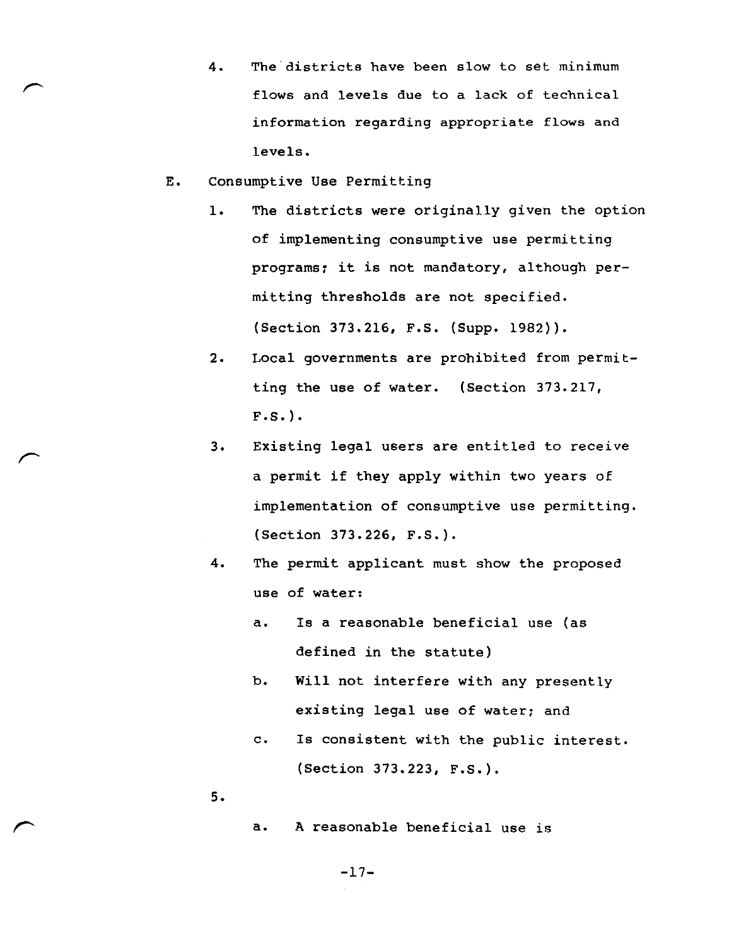- 4. The districts have been slow to set minimum flows and levels due to a lack of technical information regarding appropriate flows and levels.
- E. Consumptive Use Permitting
	- 1. The districts were originally given the option of implementing consumptive use permitting programs; it is not mandatory, although permitting thresholds are not specified. (Section 373.216, F.S. (Supp. 1982)).
	- 2. Local governments are prohibited from permitting the use of water. (Section 373.217,  $F.S.$ ).
	- 3. Existing legal users are entitled to receive a permit if they apply within two years of implementation of consumptive use permitting. (Section 373.226, F.S.).
	- 4. The permit applicant must show the proposed use of water:
		- a. Is a reasonable beneficial use (as defined in the statute)
		- b. Will not interfere with any presently existing legal use of water; and
		- c. Is consistent with the public interest. (Section 373.223, F.S.).
	- 5.
- a. A reasonable beneficial use is

-17-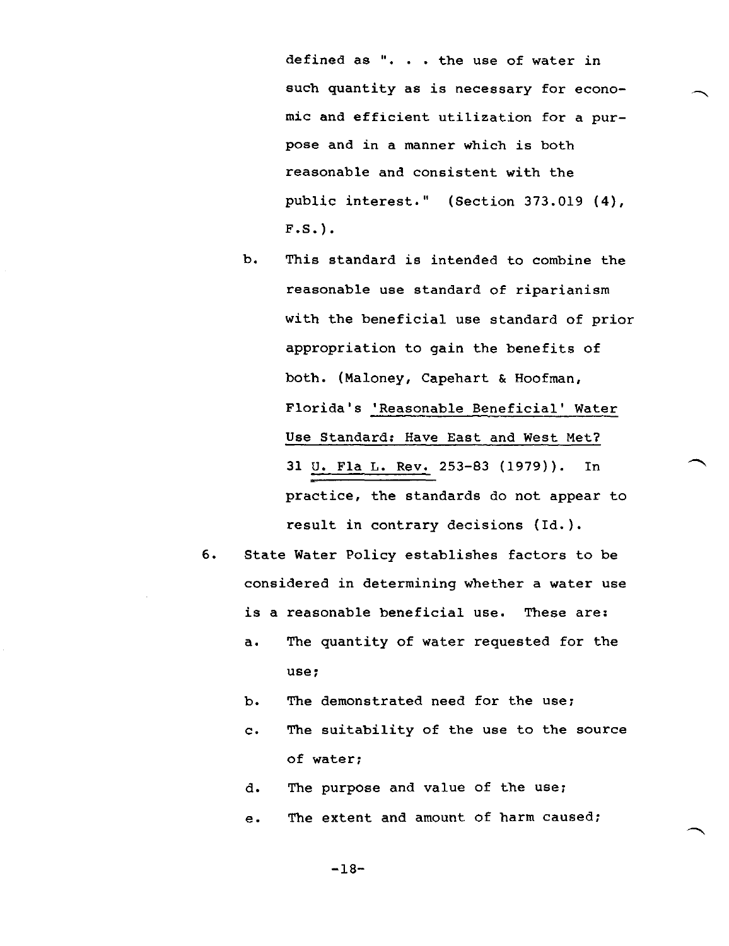defined as ". . . the use of water in such quantity as is necessary for economic and efficient utilization for a purpose and in a manner which is both reasonable and consistent with the public interest." (Section 373.019 (4),  $F.S.$ ).

- b. This standard is intended to combine the reasonable use standard of riparianism with the beneficial use standard of prior appropriation to gain the benefits of both. (Maloney, Capehart & Hoofman, Florida's 'Reasonable Beneficial' Water Use Standard: Have East and West Met? 31 U. Fla L. Rev. 253-83 (1979)). In practice, the standards do not appear to result in contrary decisions (Id.).
- 6. State Water Policy establishes factors to be considered in determining whether a water use is a reasonable beneficial use. These are:
	- a. The quantity of water requested for the use;
	- b. The demonstrated need for the use;
	- c. The suitability of the use to the source of water;
	- d. The purpose and value of the use;
	- e. The extent and amount of harm caused;

-18-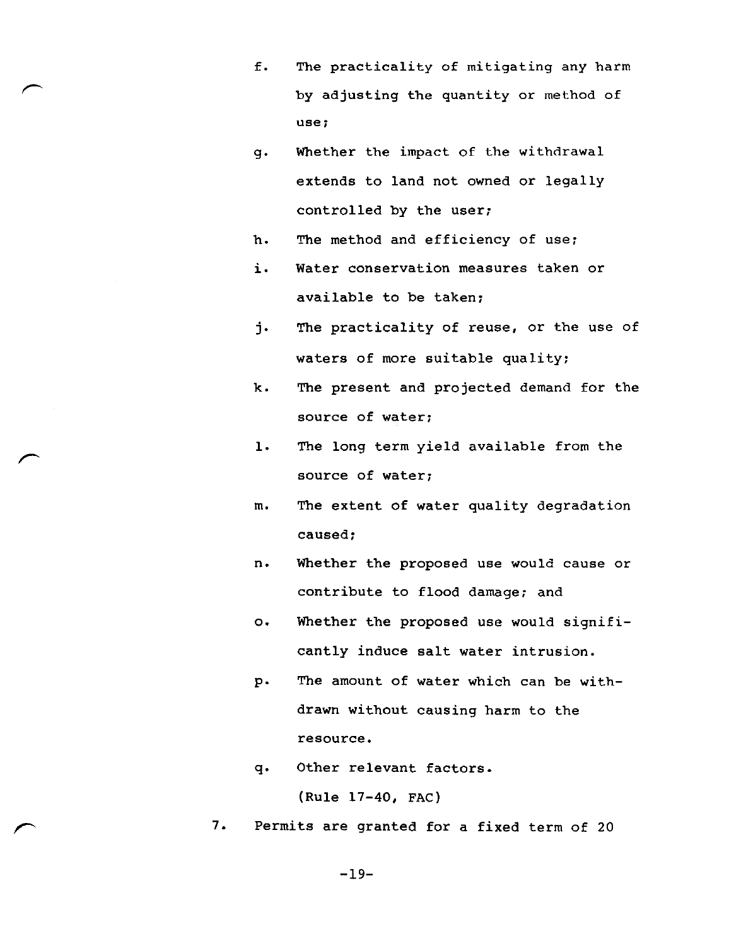- f. The practicality of mitigating any harm by adjusting the quantity or method of use;
- g. Whether the impact of the withdrawal extends to land not owned or legally controlled by the user;
- h. The method and efficiency of use;
- i. Water conservation measures taken or available to be taken;
- j. The practicality of reuse, or the use of waters of more suitable quality;
- k. The present and projected demand for the source of water;
- 1. The long term yield available from the source of water;
- m. The extent of water quality degradation caused;
- n. Whether the proposed use would cause or contribute to flood damage; and
- o. Whether the proposed use would significantly induce salt water intrusion.
- p. The amount of water which can be withdrawn without causing harm to the resource.
- q. Other relevant factors.

(Rule 17-40, FAC)

7. Permits are granted for a fixed term of 20

-19-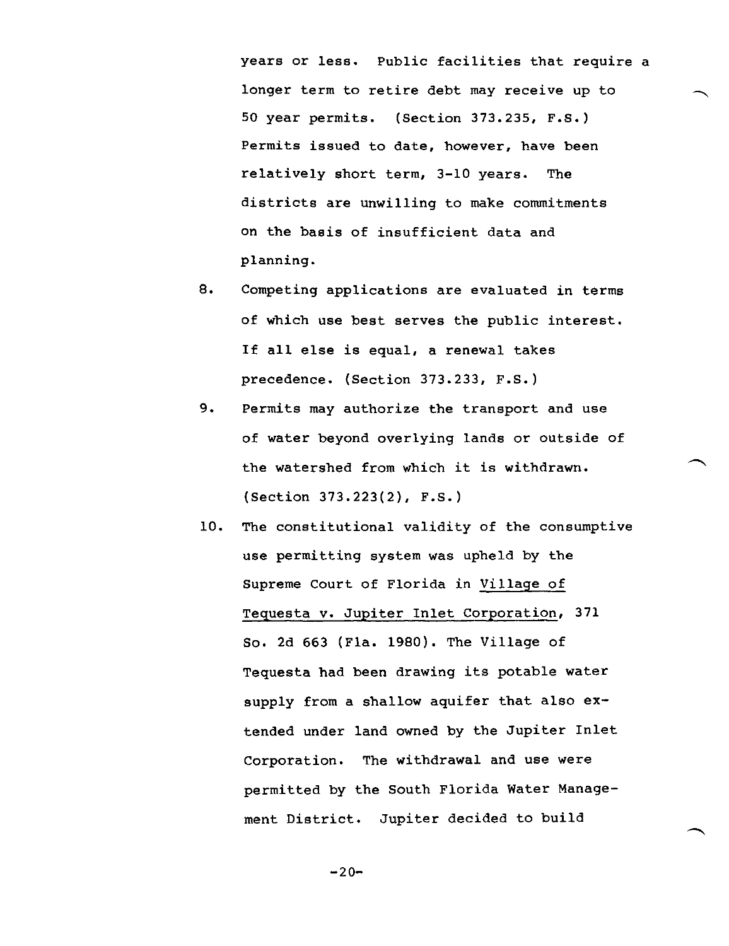years or less. Public facilities that require a longer term to retire debt may receive up to 50 year permits. (Section 373.235, F.S.) Permits issued to date, however, have been relatively short term, 3-10 years. The districts are unwilling to make commitments on the basis of insufficient data and planning.

- 8. Competing applications are evaluated in terms of which use best serves the public interest. If all else is equal, a renewal takes precedence. (Section 373.233, F.S.)
- 9. Permits may authorize the transport and use of water beyond overlying lands or outside of the watershed from which it is withdrawn. (Section 373.223(2), F.S.)
- 10. The constitutional validity of the consumptive use permitting system was upheld by the Supreme Court of Florida in Village of Teguesta v. Jupiter Inlet Corporation, 371 So. 2d 663 (Fla. 1980). The Village of Tequesta had been drawing its potable water supply from a shallow aquifer that also extended under land owned by the Jupiter Inlet Corporation. The withdrawal and use were permitted by the South Florida Water Management District. Jupiter decided to build

 $-20-$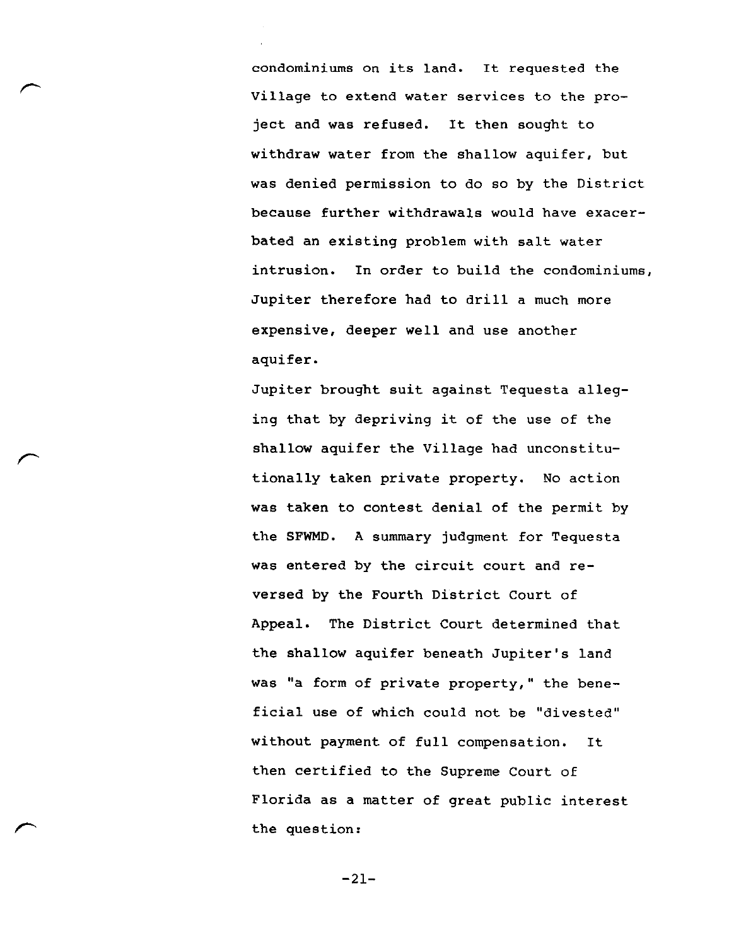condominiums on its land. It requested the Village to extend water services to the project and was refused. It then sought to withdraw water from the shallow aquifer, but was denied permission to do so by the District because further withdrawals would have exacerbated an existing problem with salt water intrusion. In order to build the condominiums, Jupiter therefore had to drill a much more expensive, deeper well and use another aquifer.

Jupiter brought suit against Tequesta alleging that by depriving it of the use of the shallow aquifer the Village had unconstitutionally taken private property. No action was taken to contest denial of the permit by the SFWMD. A summary judgment for Tequesta was entered by the circuit court and reversed by the Fourth District Court of Appeal. The District Court determined that the shallow aquifer beneath Jupiter's land was "a form of private property," the beneficial use of which could not be "divested" without payment of full compensation. It then certified to the Supreme Court of Florida as a matter of great public interest the question:

-21-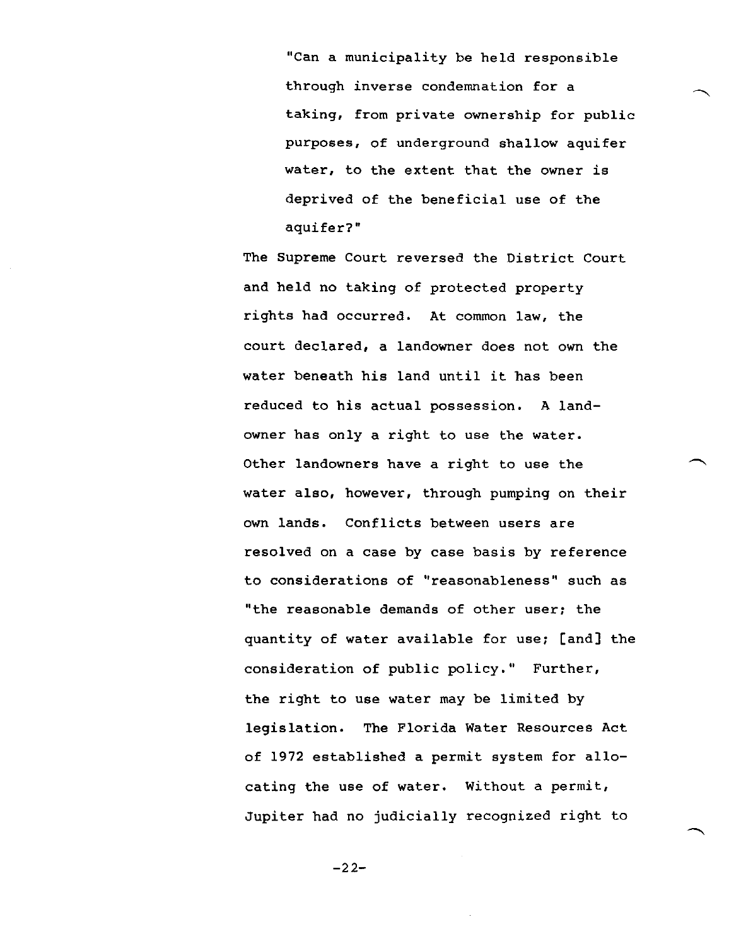"Can a municipality be held responsible through inverse condemnation for a taking, from private ownership for public purposes, of underground shallow aquifer water, to the extent that the owner is deprived of the beneficial use of the aquifer?"

The Supreme Court reversed the District Court and held no taking of protected property rights had occurred. At common law, the court declared, a landowner does not own the water beneath his land until it has been reduced to his actual possession. A landowner has only a right to use the water. Other landowners have a right to use the water also, however, through pumping on their own lands. Conflicts between users are resolved on a case by case basis by reference to considerations of "reasonableness" such as "the reasonable demands of other user; the quantity of water available for use; [and] the consideration of public policy." Further, the right to use water may be limited by legislation. The Florida Water Resources Act of 1972 established a permit system for allocating the use of water. Without a permit, Jupiter had no judicially recognized right to

 $-22-$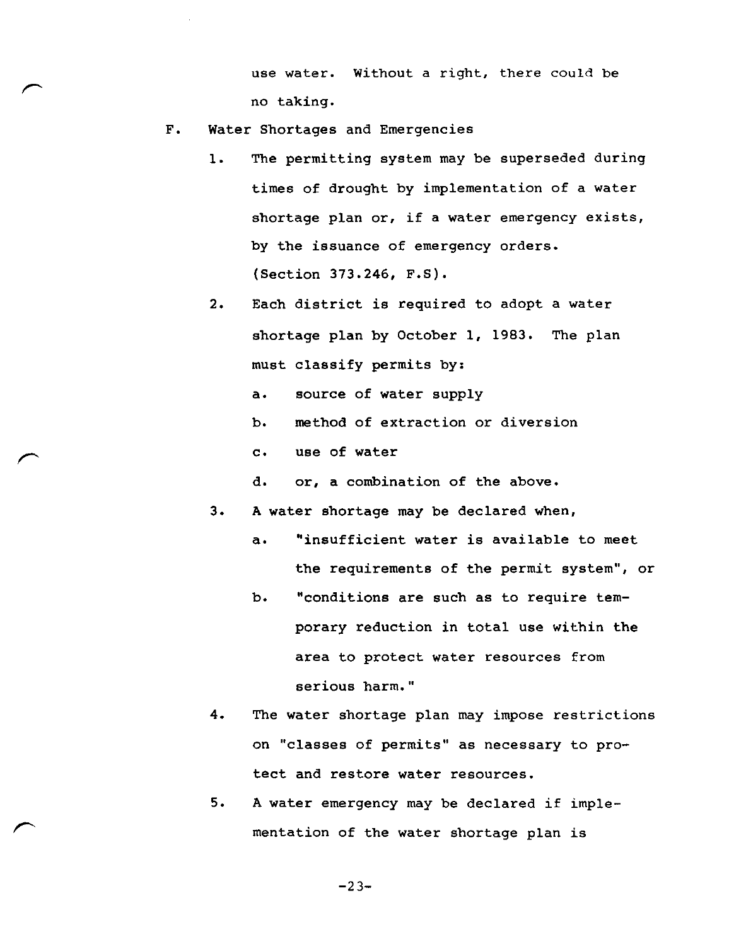use water. Without a right, there could be no taking.

- F. Water Shortages and Emergencies
	- 1. The permitting system may be superseded during times of drought by implementation of a water shortage plan or, if a water emergency exists, by the issuance of emergency orders. (Section 373.246, F.S).
	- 2. Each district is required to adopt a water shortage plan by October 1, 1983. The plan must classify permits by:
		- a. source of water supply
		- b. method of extraction or diversion
		- c. use of water
		- d. or, a combination of the above.
	- 3. A water shortage may be declared when,
		- a. "insufficient water is available to meet the requirements of the permit system", or
		- b. "conditions are such as to require temporary reduction in total use within the area to protect water resources from serious harm."
	- 4. The water shortage plan may impose restrictions on "classes of permits" as necessary to protect and restore water resources.
	- 5. A water emergency may be declared if implementation of the water shortage plan is

 $-23-$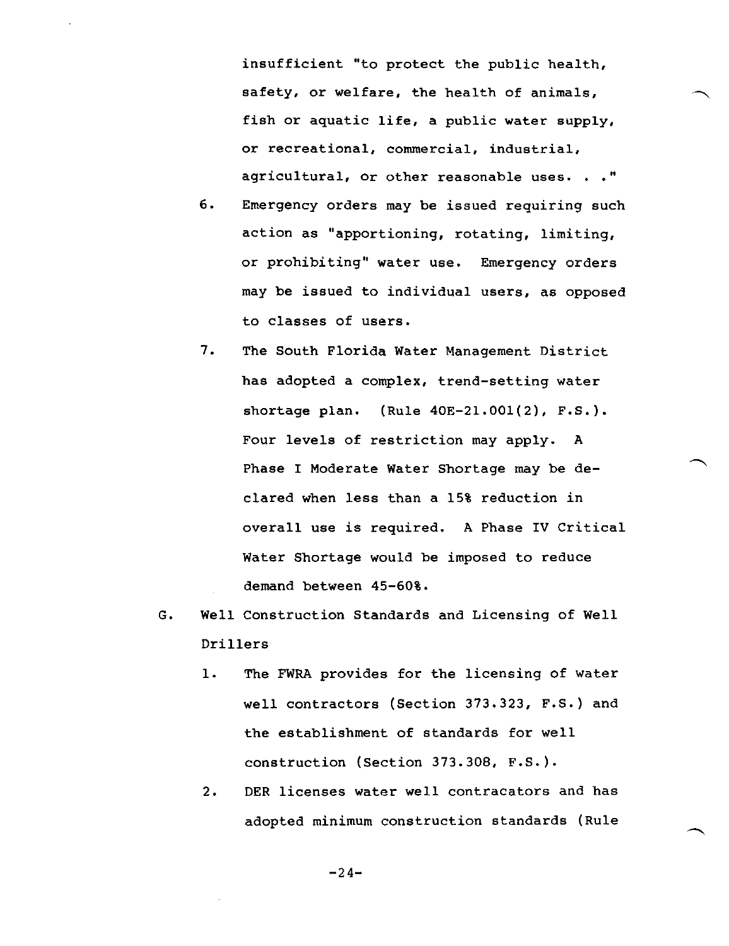insufficient "to protect the public health, safety, or welfare, the health of animals, fish or aquatic life, a public water supply, or recreational, commercial, industrial, agricultural, or other reasonable uses. . ."

- 6. Emergency orders may be issued requiring such action as "apportioning, rotating, limiting, or prohibiting" water use. Emergency orders may be issued to individual users, as opposed to classes of users.
- 7. The South Florida Water Management District has adopted a complex, trend-setting water shortage plan. (Rule 40E-21.001(2), F.S.). Four levels of restriction may apply. A Phase I Moderate water Shortage may be declared when less than a 15% reduction in overall use is required. A Phase IV Critical Water Shortage would be imposed to reduce demand between 45-60%.
- G. Well Construction Standards and Licensing of Well Drillers
	- 1. The FWRA provides for the licensing of water well contractors (Section 373.323, F.S.) and the establishment of standards for well construction (Section 373.308, F.S.).
	- 2. DER licenses water well contracators and has adopted minimum construction standards (Rule

 $-24-$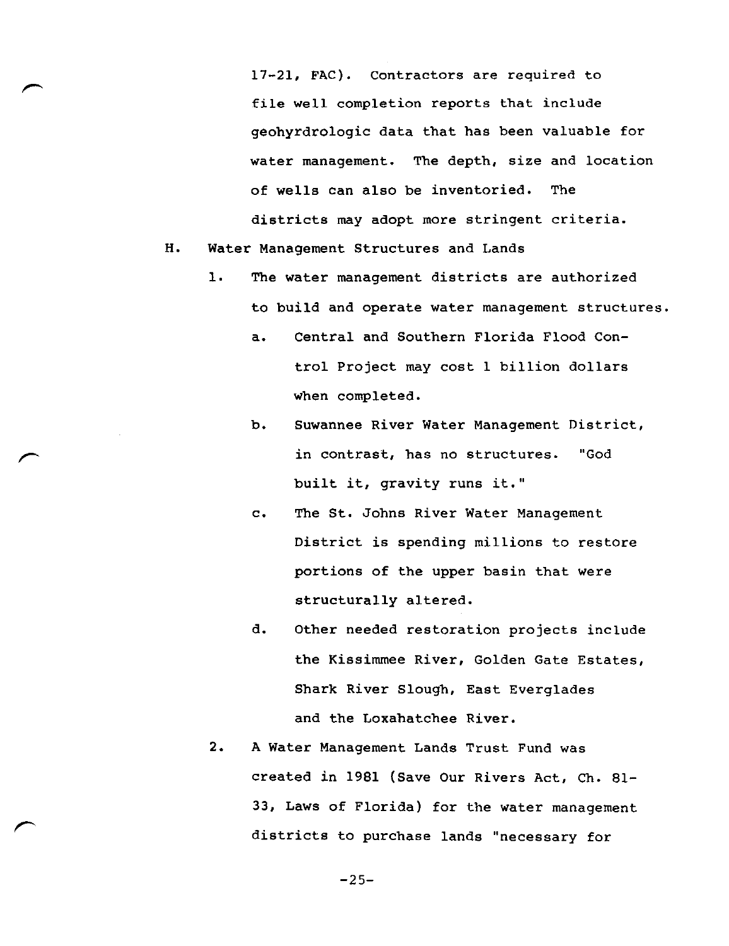17-21, FAC). Contractors are required to file well completion reports that include geohyrdrologic data that has been valuable for water management. The depth, size and location of wells can also be inventoried. The districts may adopt more stringent criteria.

- H. Water Management Structures and Lands
	- 1. The water management districts are authorized to build and operate water management structures.
		- a. Central and Southern Florida Flood Control Project may cost 1 billion dollars when completed.
		- b. Suwannee River Water Management District, in contrast, has no structures. "God built it, gravity runs it."
		- c. The St. Johns River Water Management District is spending millions to restore portions of the upper basin that were structurally altered.
		- d. Other needed restoration projects include the Kissimmee River, Golden Gate Estates, Shark River Slough, East Everglades and the Loxahatchee River.
	- 2. A Water Management Lands Trust Fund was created in 1981 (Save Our Rivers Act, Ch. 81- 33, Laws of Florida) for the water management districts to purchase lands "necessary for

-25-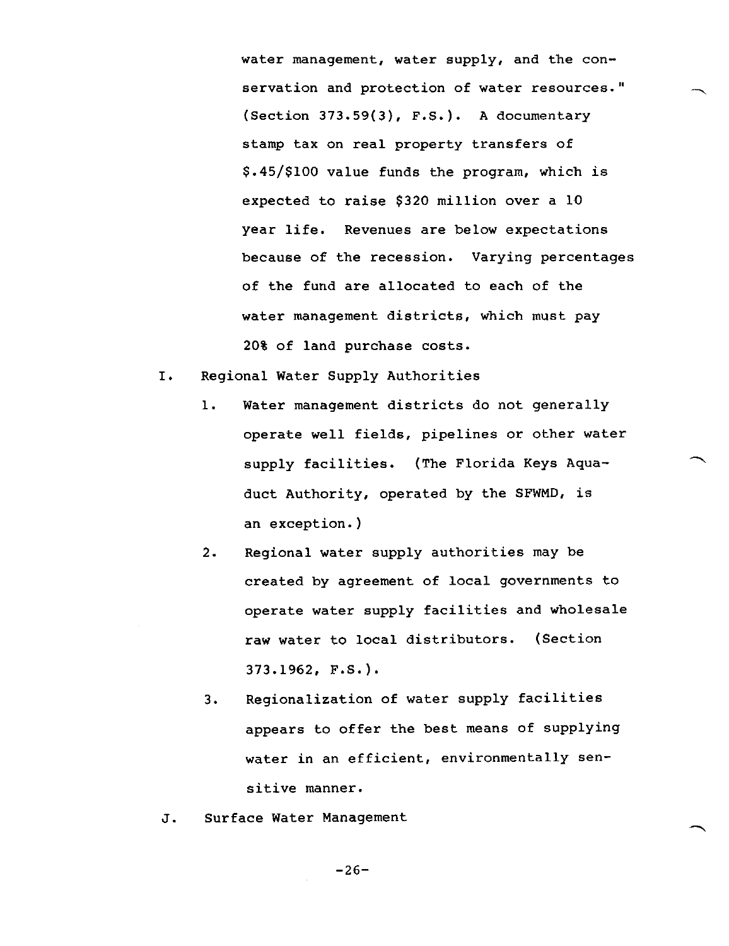water management, water supply, and the conservation and protection of water resources." (Section 373.59(3), F.S.). A documentary stamp tax on real property transfers of \$.45/\$100 value funds the program, which is expected to raise \$320 million over a 10 year life. Revenues are below expectations because of the recession. Varying percentages of the fund are allocated to each of the water management districts, which must pay 20% of land purchase costs.

- I. Regional Water Supply Authorities
	- 1. Water management districts do not generally operate well fields, pipelines or other water supply facilities. (The Florida Keys Aquaduct Authority, operated by the SFWMD, is an exception.)
	- 2. Regional water supply authorities may be created by agreement of local governments to operate water supply facilities and wholesale raw water to local distributors. (Section 373.1962, F.S.).
	- 3. Regionalization of water supply facilities appears to offer the best means of supplying water in an efficient, environmentally sensitive manner.
- J. Surface Water Management

 $-26-$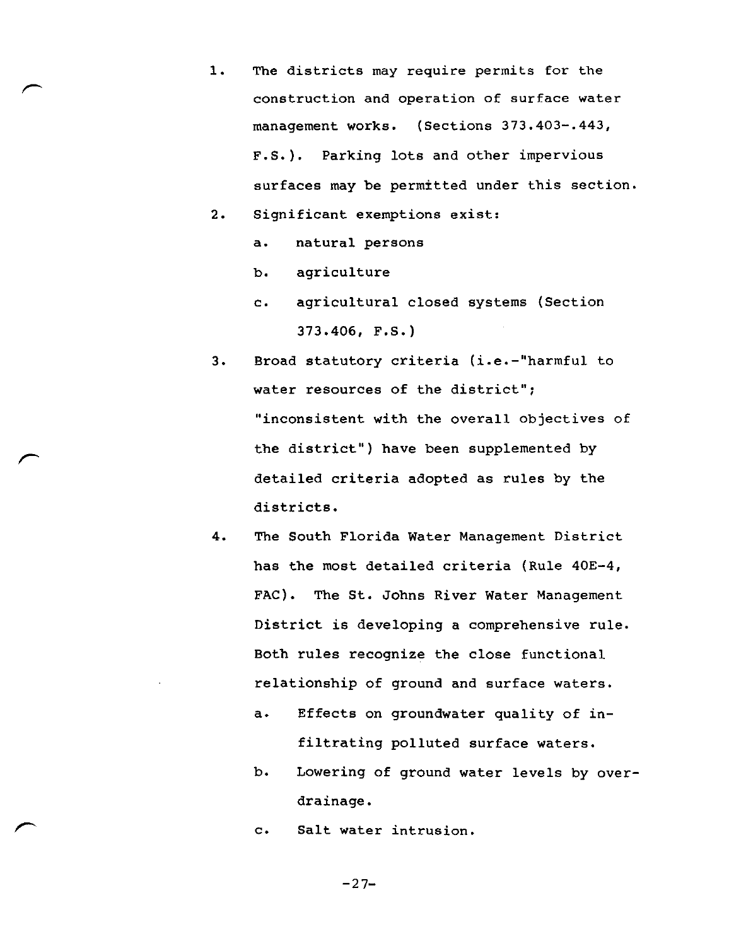- 1. The districts may require permits for the construction and operation of surface water management works. (Sections 373.403-.443, F.S.). Parking lots and other impervious surfaces may be permitted under this section.
- 2. Significant exemptions exist:
	- a. natural persons
	- b. agriculture
	- c. agricultural closed systems (Section 373.406, F.S.)
- 3. Broad statutory criteria (i.e.-"harmful to water resources of the district"; "inconsistent with the overall objectives of the district") have been supplemented by detailed criteria adopted as rules by the districts.
- 4. The South Florida Water Management District has the most detailed criteria (Rule 40E-4, FAC). The St. Johns River Water Management District is developing a comprehensive rule. Both rules recognize the close functional relationship of ground and surface waters.
	- a. Effects on groundwater quality of infiltrating polluted surface waters.
	- b. Lowering of ground water levels by overdrainage.
	- c. Salt water intrusion.

 $-27-$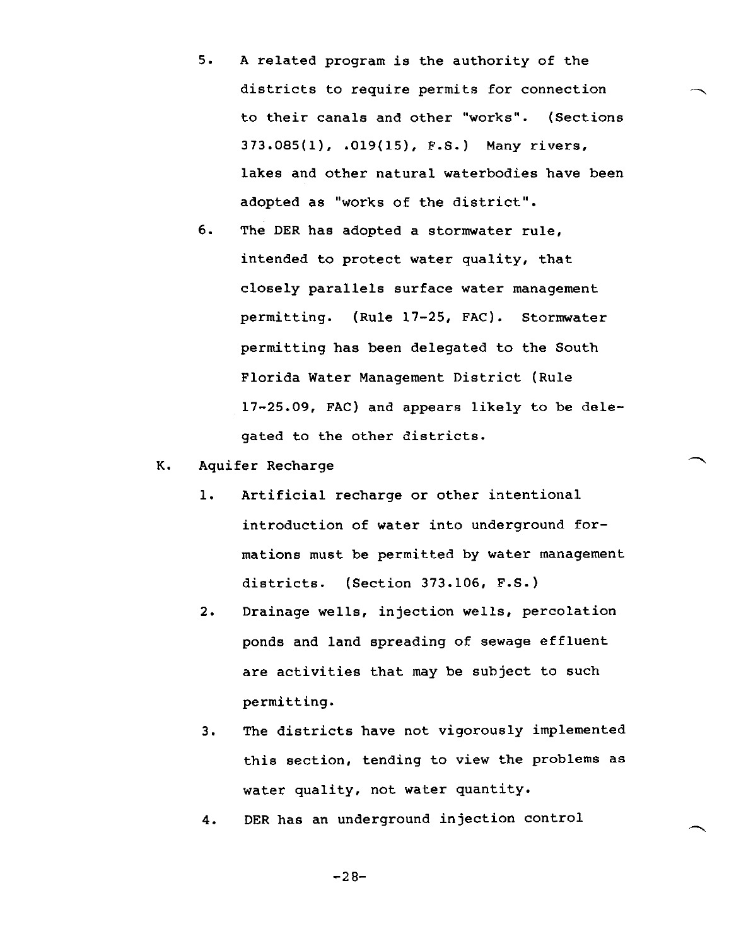- 5. A related program is the authority of the districts to require permits for connection to their canals and other "works". (Sections 373.085(1), .019(15), F.S.) Many rivers, lakes and other natural waterbodies have been adopted as "works of the district".
- 6. The DER has adopted a stormwater rule, intended to protect water quality, that closely parallels surface water management permitting. (Rule 17-25, FAC). Stormwater permitting has been delegated to the South Florida Water Management District (Rule 17-25.09, FAC) and appears likely to be delegated to the other districts.
- K. Aquifer Recharge
	- 1. Artificial recharge or other intentional introduction of water into underground formations must be permitted by water management districts. (Section 373.106, F.S.)
	- 2. Drainage wells, injection wells, percolation ponds and land spreading of sewage effluent are activities that may be subject to such permitting.
	- 3. The districts have not vigorously implemented this section, tending to view the problems as water quality, not water quantity.
	- 4. DER has an underground injection control

 $-28-$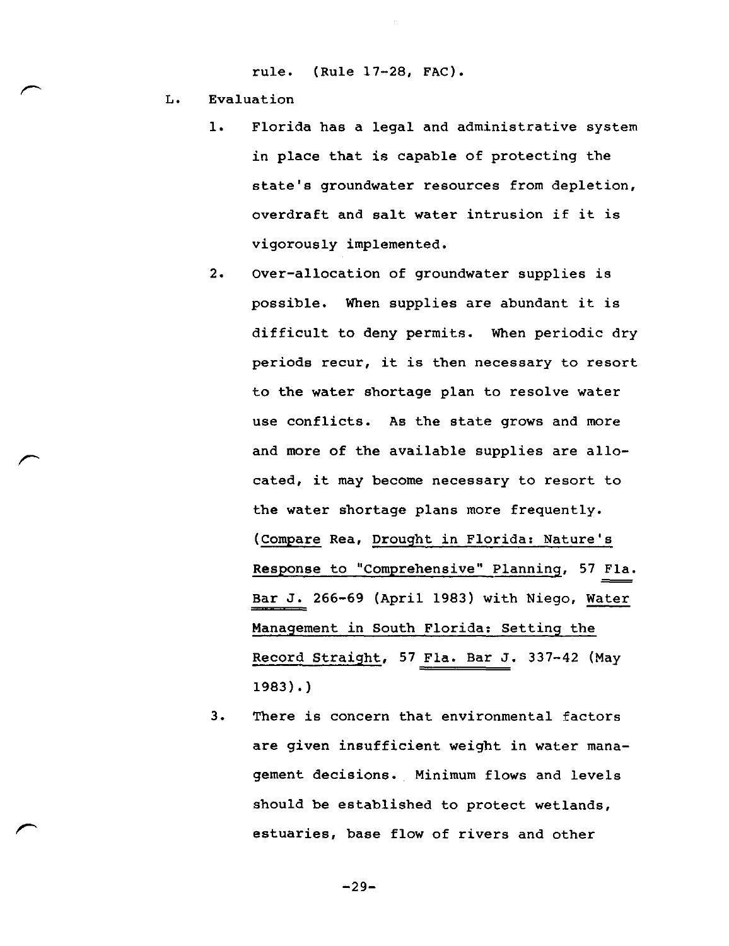- rule. (Rule 17-28, FAC).
- L. Evaluation
	- 1. Florida has a legal and administrative system in place that is capable of protecting the state's groundwater resources from depletion, overdraft and salt water intrusion if it is vigorously implemented.
	- 2. Over-allocation of groundwater supplies is possible. When supplies are abundant it is difficult to deny permits. When periodic dry periods recur, it is then necessary to resort to the water shortage plan to resolve water use conflicts. As the state grows and more and more of the available supplies are allocated, it may become necessary to resort to the water shortage plans more frequently. (Compare Rea, Drought in Florida: Nature's Response to "Comprehensive" Planning, 57 Fla. Bar J. 266-69 (April 1983) with Niego, Water Management in South Florida: Setting the Record Straight, 57 Fla. Bar J. 337-42 (May 1983).)
	- 3. There is concern that environmental factors are given insufficient weight in water management decisions. Minimum flows and levels should be established to protect wetlands, estuaries, base flow of rivers and other

-29-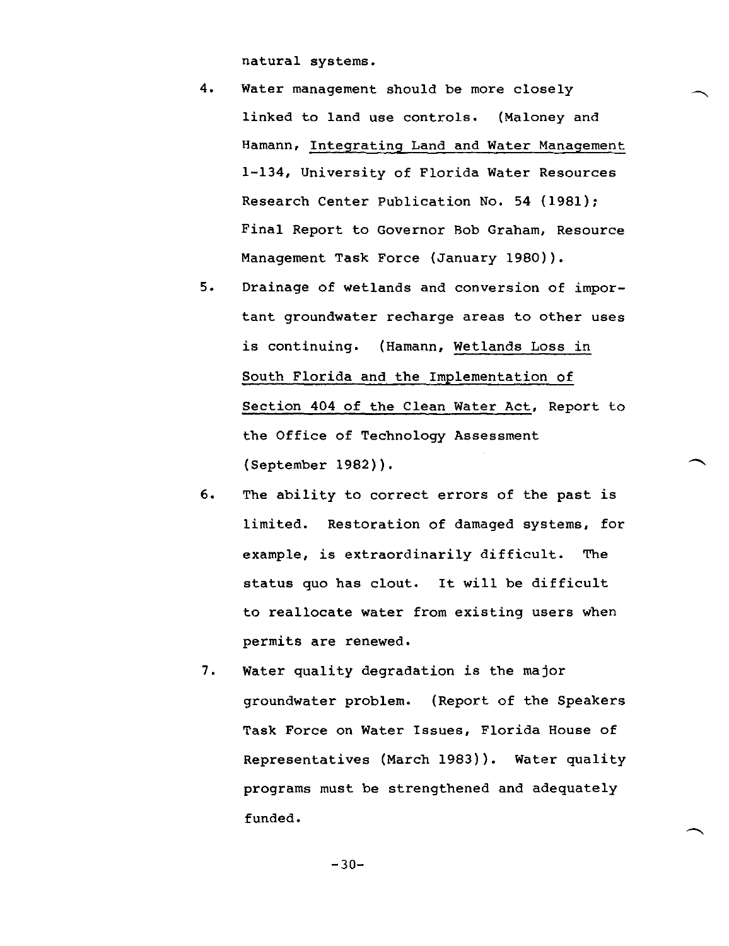natural systems.

- 4. Water management should be more closely linked to land use controls. (Maloney and Hamann, Integrating Land and Water Management 1-134, University of Florida Water Resources Research Center Publication No. 54 (1981); Final Report to Governor Bob Graham, Resource Management Task Force (January 1980)).
- 5. Drainage of wetlands and conversion of important groundwater recharge areas to other uses is continuing. (Hamann, Wetlands Loss in South Florida and the Implementation of Section 404 of the Clean Water Act, Report to the Office of Technology Assessment (September 1982)).
- 6. The ability to correct errors of the past is limited. Restoration of damaged systems, for example, is extraordinarily difficult. The status quo has clout. It will be difficult to reallocate water from existing users when permits are renewed.
- 7. Water quality degradation is the major groundwater problem. (Report of the Speakers Task Force on Water Issues, Florida House of Representatives (March 1983)). Water quality programs must be strengthened and adequately funded.

 $-30-$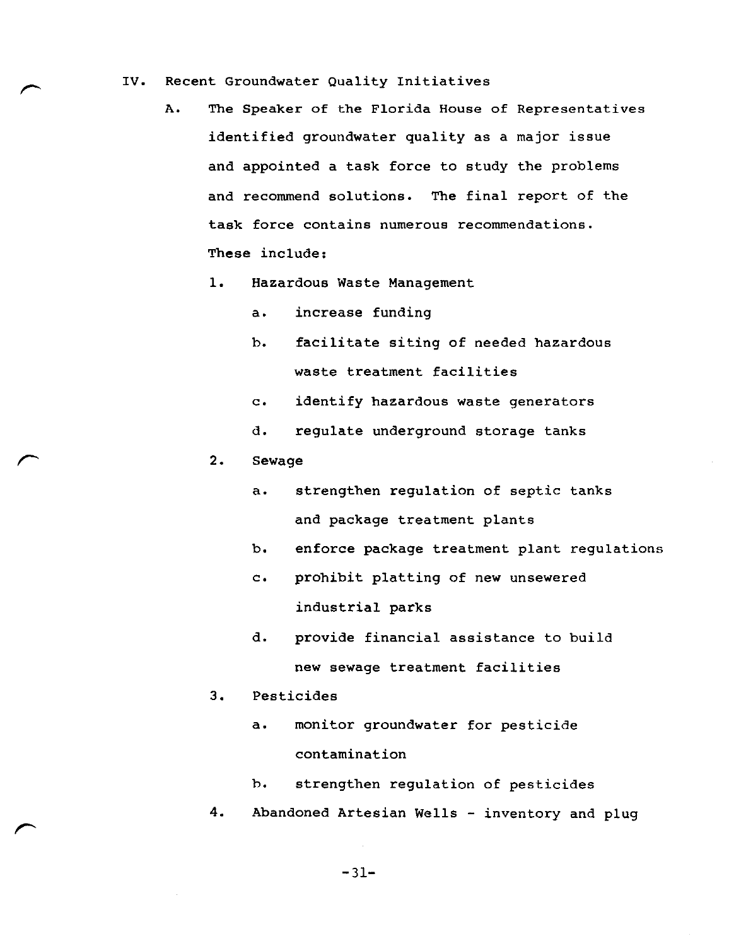- IV. Recent Groundwater Quality Initiatives
	- A. The Speaker of the Florida House of Representatives identified groundwater quality as a major issue and appointed a task force to study the problems and recommend solutions. The final report of the task force contains numerous recommendations. These include:
		- 1. Hazardous Waste Management
			- a. increase funding
			- b. facilitate siting of needed hazardous waste treatment facilities
			- c. identify hazardous waste generators
			- d. regulate underground storage tanks

### 2. Sewage

- a. strengthen regulation of septic tanks and package treatment plants
- b. enforce package treatment plant regulations
- c. prohibit platting of new unsewered industrial parks
- d. provide financial assistance to build new sewage treatment facilities

#### 3. Pesticides

- a. monitor groundwater for pesticide contamination
- b. strengthen regulation of pesticides
- 4. Abandoned Artesian Wells inventory and plug

-31-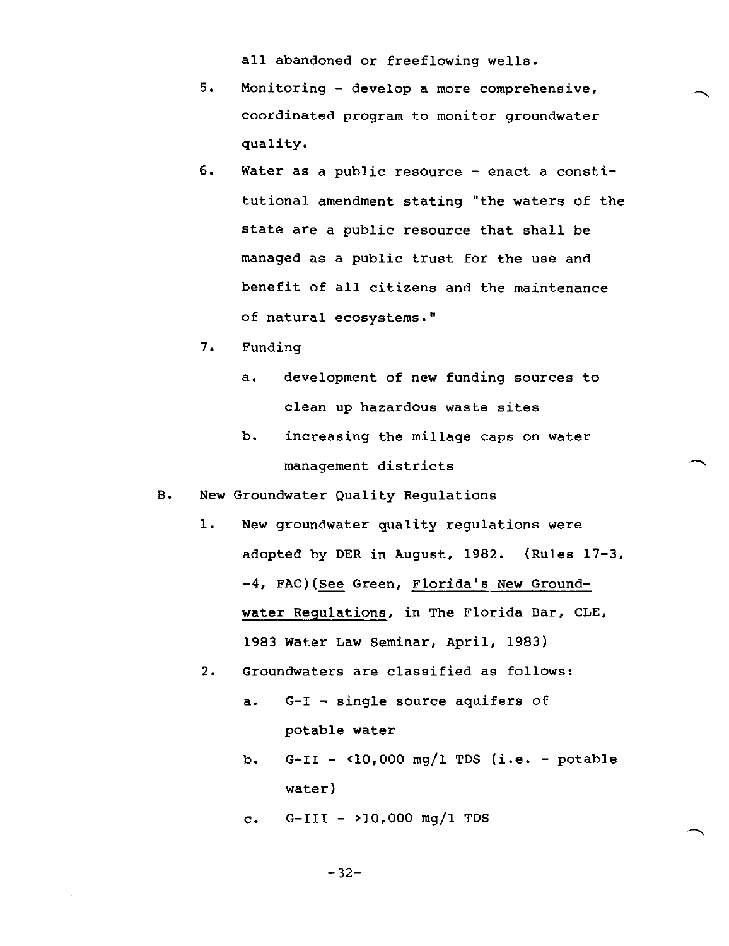all abandoned or freeflowing wells.

- 5. Monitoring develop a more comprehensive, coordinated program to monitor groundwater quality.
- 6. Water as a public resource enact a constitutional amendment stating "the waters of the state are a public resource that shall be managed as a public trust for the use and benefit of all citizens and the maintenance of natural ecosystems."
- 7. Funding
	- a. development of new funding sources to clean up hazardous waste sites
	- b. increasing the millage caps on water management districts

B. New Groundwater Quality Regulations

- 1. New groundwater quality regulations were adopted by DER in August, 1982. (Rules 17-3, -4, FAC)(See Green, Florida's New Groundwater Regulations, in The Florida Bar, CLE, 1983 Water Law Seminar, April, 1983)
- 2. Groundwaters are classified as follows: a. G-I - single source aquifers of potable water
	- b.  $G-II <10,000$  mg/1 TDS (i.e. potable water)
	- c.  $G-III 210,000 \text{ mg/l}$  TDS

-32-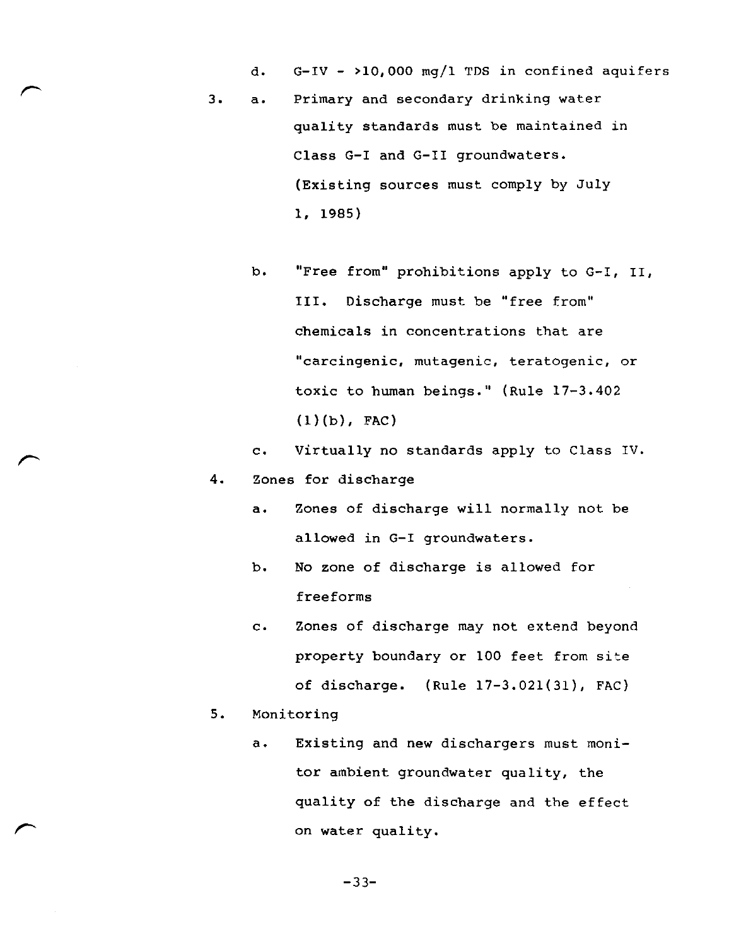- d.  $G-IV 10,000$  mg/1 TDS in confined aquifers
- 3. a. Primary and secondary drinking water quality standards must be maintained in Class G-I and G-II groundwaters. (Existing sources must comply by July 1, 1985)
	- b. "Free from" prohibitions apply to G-I, II, III. Discharge must be "free from" chemicals in concentrations that are "carcingenic, mutagenic, teratogenic, or toxic to human beings." (Rule 17-3.402  $(1)(b)$ , FAC)
	- c. Virtually no standards apply to Class IV.
- 4. Zones for discharge
	- a. Zones of discharge will normally not be allowed in G-I groundwaters.
	- b. No zone of discharge is allowed for freeforms
	- c. Zones of discharge may not extend beyond property boundary or 100 feet from site of discharge. (Rule 17-3.021(31), FAC)
- 5. Monitoring
	- a. Existing and new dischargers must monitor ambient groundwater quality, the quality of the discharge and the effect on water quality.

-33-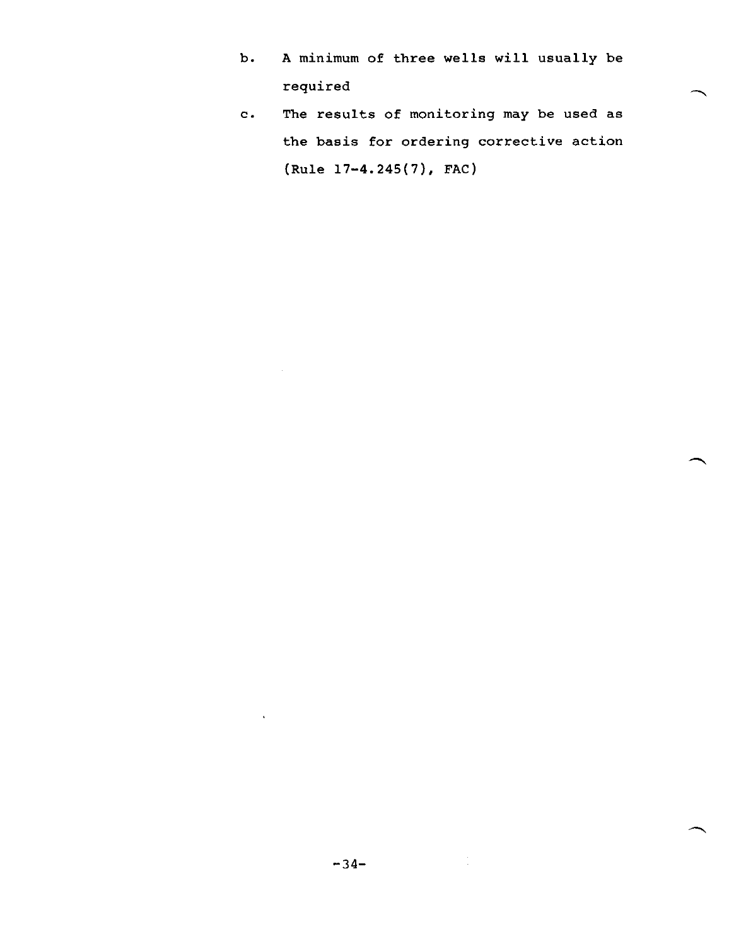- b. A minimum of three wells will usually be required
- c. The results of monitoring may be used as the basis for ordering corrective action (Rule 17-4.245(7), FAC)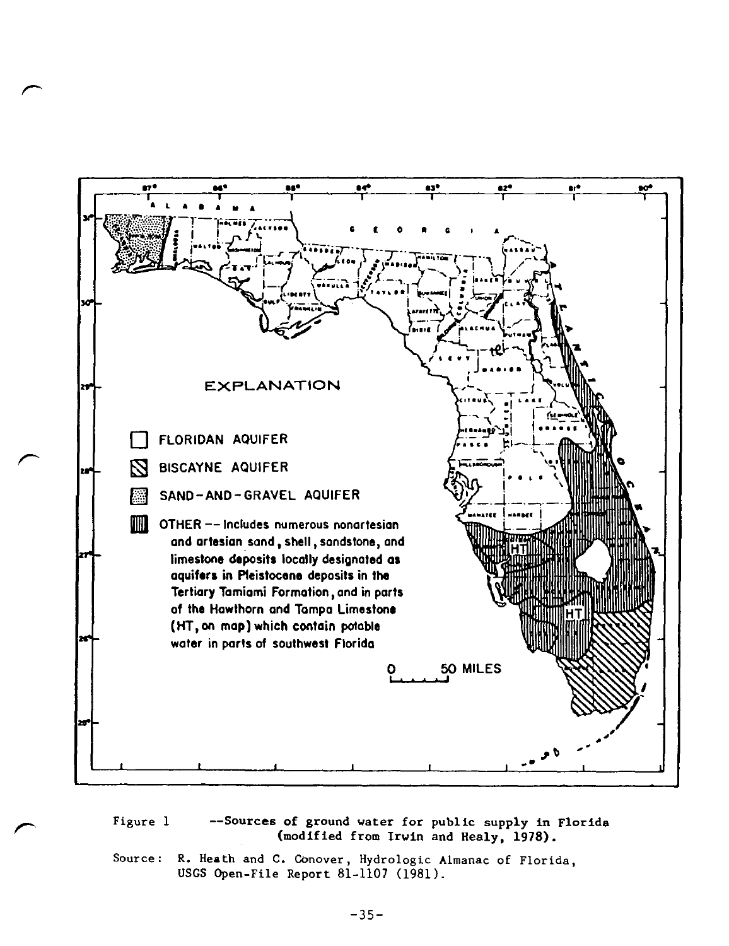

#### Figure 1 --Sources of ground water for public supply in Florida (modified from Irwin and Healy, 1978).

Source: R. Heath and C. Conover, Hydrologic Almanac of Florida, USGS Open-File Report 81-1107 (1981).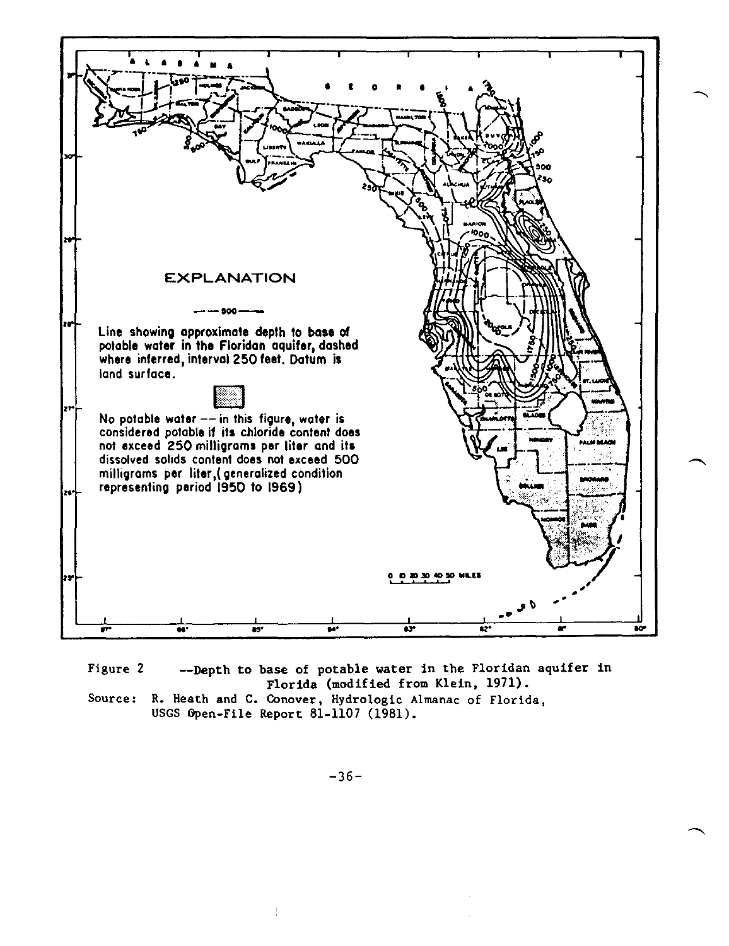

- --Depth to base of potable water in the Floridan aquifer in Figure 2 Florida (modified from Klein, 1971).
- Source: R. Heath and C. Conover, Hydrologic Almanac of Florida, USGS Open-File Report 81-1107 (1981).

Ĵ.

 $-36-$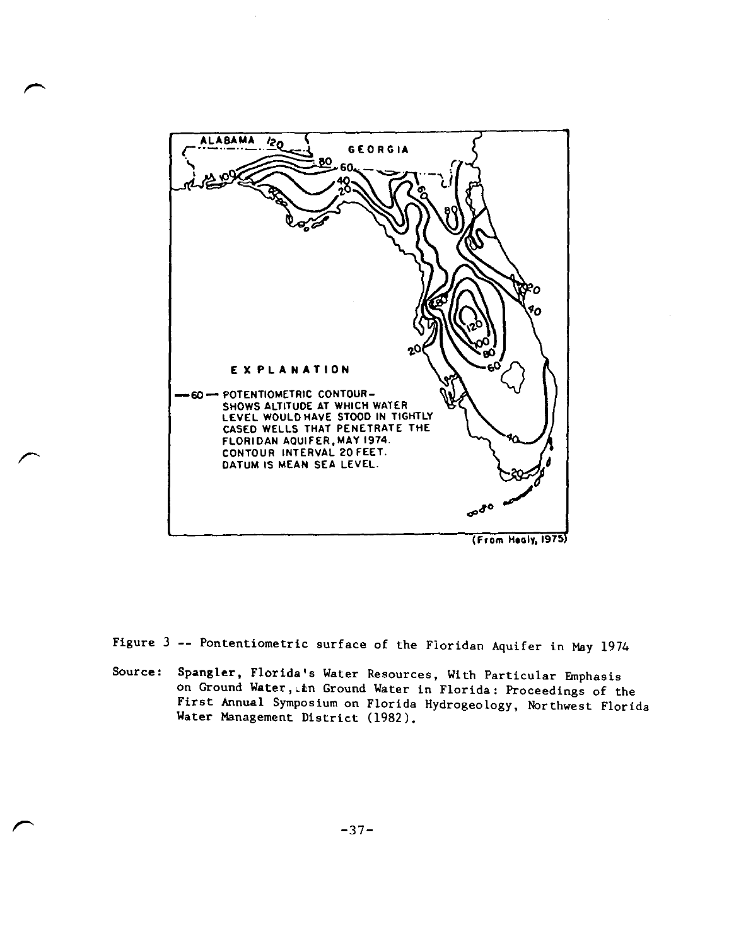

(From Healy, 1975)

Figure 3 -- Pontentiometric surface of the Floridan Aquifer in May 1974

Source: Spangler, Florida's Water Resources, With Particular Emphasis on Ground Water, th Ground Water in Florida: Proceedings of the First Annual Symposium on Florida Hydrogeology, Northwest Florida Water Management District (1982).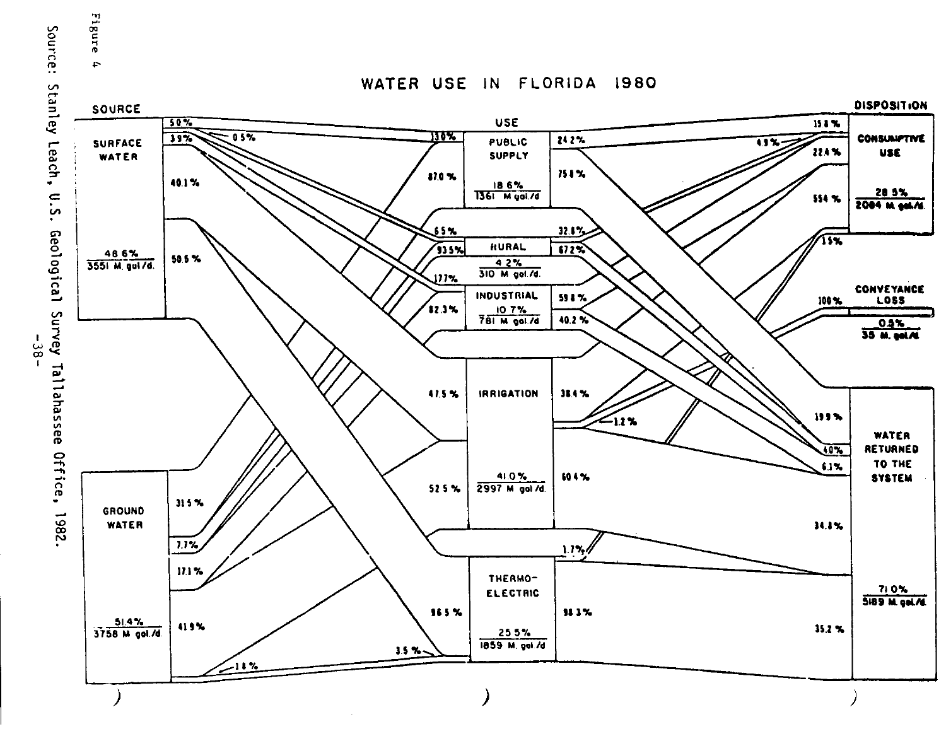

 $-38-$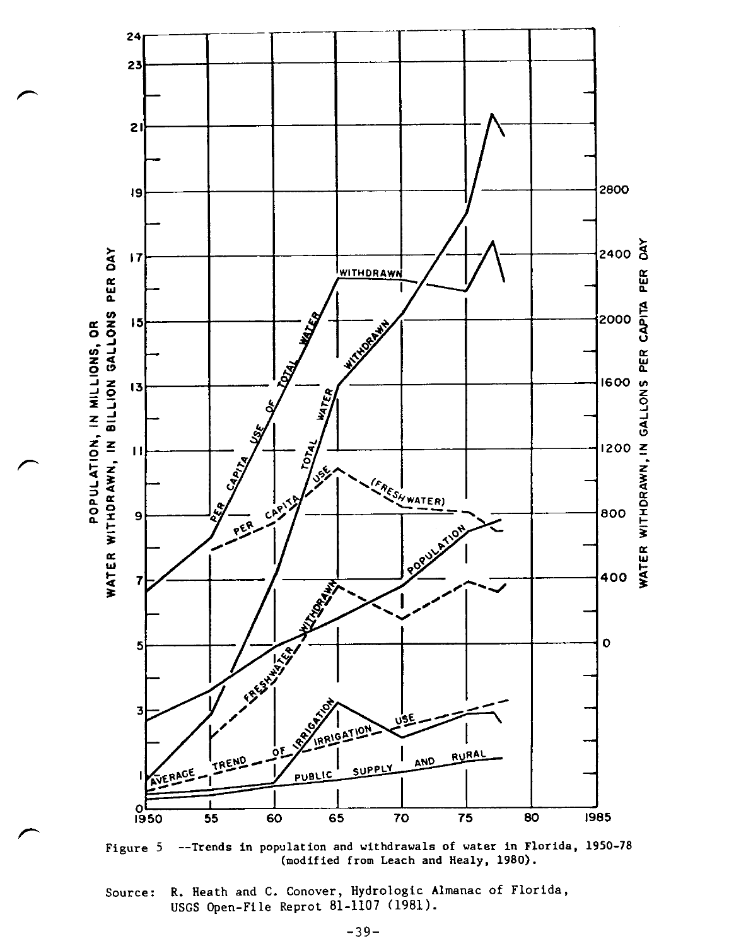

--Trends in population and withdrawals of water in Florida, 1950-78 Figure 5 (modified from Leach and Healy, 1980).

R. Heath and C. Conover, Hydrologic Almanac of Florida, Source: USGS Open-File Reprot 81-1107 (1981).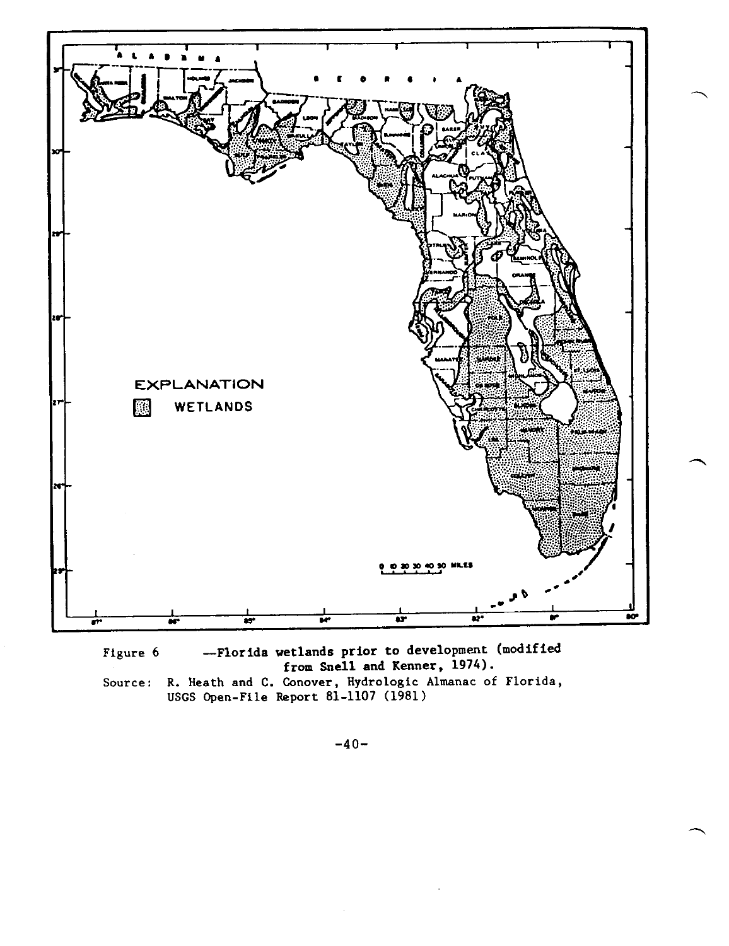

Source: R. Heath and C. USGS Open-File from Snell and Kenner, 1974). Conover, Hydrologic Almanac of Florida, Report 81-1107 (1981)

 $-40-$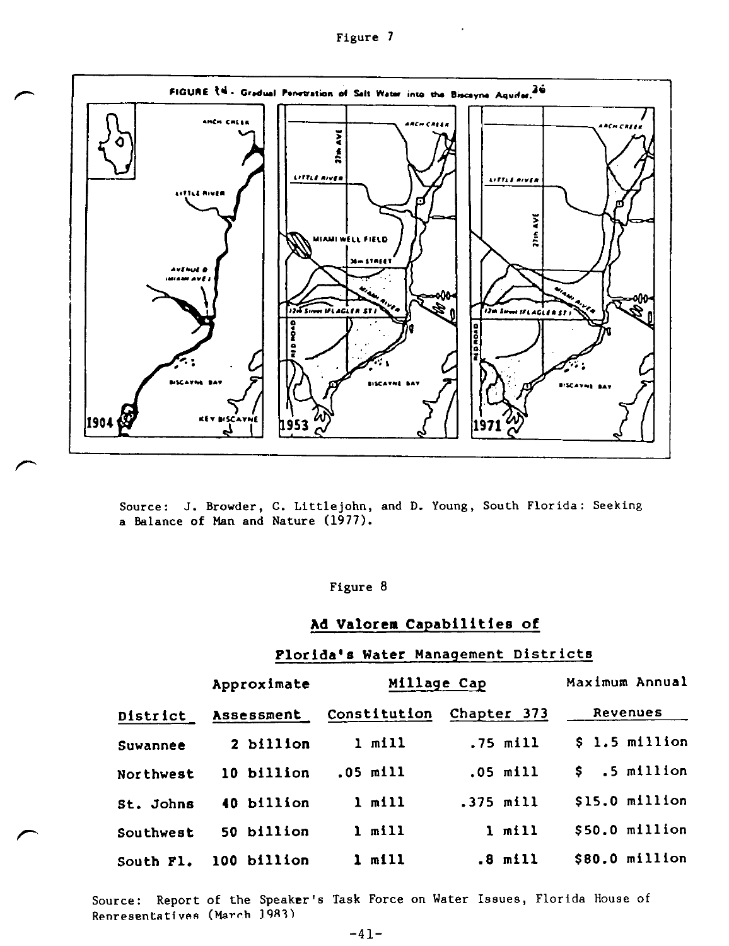Figure 7



Source: J. Browder, C. Littlejohn, and D. Young, South Florida: Seeking a Balance of Man and Nature (1977).

#### Figure 8

## Ad Valorem Capabilities of

## Plorida's Water Management Districts

|                  | Approximate | Millage Cap  |             | Maximum Annual    |
|------------------|-------------|--------------|-------------|-------------------|
| District         | Assessment  | Constitution | Chapter 373 | Revenues          |
| Suwannee         | 2 billion   | 1 mill       | .75 mill    | $$1.5$ million    |
| <b>Northwest</b> | 10 billion  | $.05$ $m111$ | $.05$ mill  | .5 million<br>\$. |
| St. Johns        | 40 billion  | $1$ mill     | .375 mill   | \$15.0 million    |
| Southwest        | 50 billion  | $1$ mill     | $1$ $m111$  | $$50.0$ million   |
| South Fl.        | 100 billion | $1$ mill     | $.8$ $m111$ | $$80.0$ million   |

Source: Report of the Speaker's Task Force on Water Issues, Florida House of Representatives (March 1983)